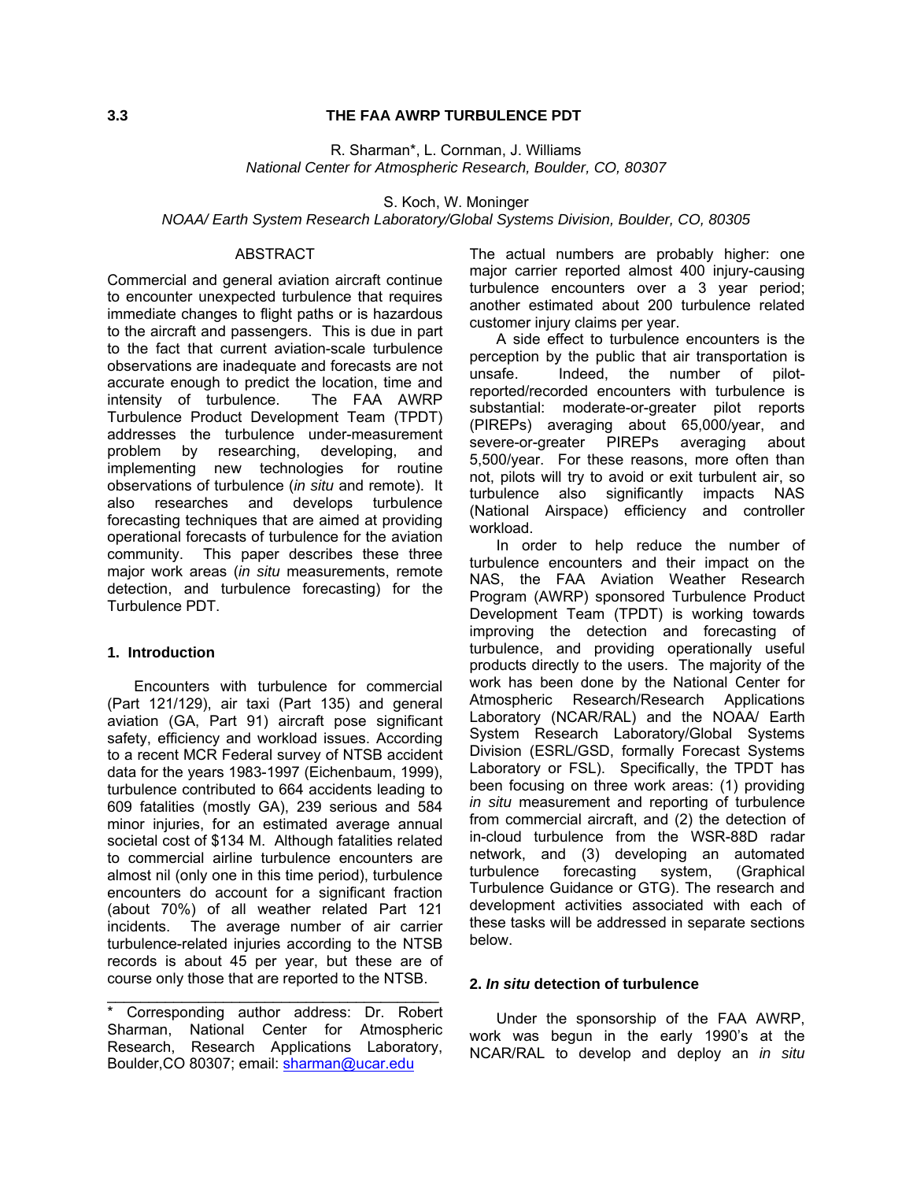#### **3.3 THE FAA AWRP TURBULENCE PDT**

R. Sharman\*, L. Cornman, J. Williams *National Center for Atmospheric Research, Boulder, CO, 80307* 

S. Koch, W. Moninger

#### *NOAA/ Earth System Research Laboratory/Global Systems Division, Boulder, CO, 80305*

#### ABSTRACT

Commercial and general aviation aircraft continue to encounter unexpected turbulence that requires immediate changes to flight paths or is hazardous to the aircraft and passengers. This is due in part to the fact that current aviation-scale turbulence observations are inadequate and forecasts are not accurate enough to predict the location, time and intensity of turbulence. The FAA AWRP Turbulence Product Development Team (TPDT) addresses the turbulence under-measurement problem by researching, developing, and implementing new technologies for routine observations of turbulence (*in situ* and remote). It also researches and develops turbulence forecasting techniques that are aimed at providing operational forecasts of turbulence for the aviation community. This paper describes these three major work areas (*in situ* measurements, remote detection, and turbulence forecasting) for the Turbulence PDT.

#### **1. Introduction**

Encounters with turbulence for commercial (Part 121/129), air taxi (Part 135) and general aviation (GA, Part 91) aircraft pose significant safety, efficiency and workload issues. According to a recent MCR Federal survey of NTSB accident data for the years 1983-1997 (Eichenbaum, 1999), turbulence contributed to 664 accidents leading to 609 fatalities (mostly GA), 239 serious and 584 minor injuries, for an estimated average annual societal cost of \$134 M. Although fatalities related to commercial airline turbulence encounters are almost nil (only one in this time period), turbulence encounters do account for a significant fraction (about 70%) of all weather related Part 121 incidents. The average number of air carrier turbulence-related injuries according to the NTSB records is about 45 per year, but these are of course only those that are reported to the NTSB.

\_\_\_\_\_\_\_\_\_\_\_\_\_\_\_\_\_\_\_\_\_\_\_\_\_\_\_\_\_\_\_\_\_\_\_\_\_\_\_\_

The actual numbers are probably higher: one major carrier reported almost 400 injury-causing turbulence encounters over a 3 year period; another estimated about 200 turbulence related customer injury claims per year.

A side effect to turbulence encounters is the perception by the public that air transportation is unsafe. Indeed, the number of pilotreported/recorded encounters with turbulence is substantial: moderate-or-greater pilot reports (PIREPs) averaging about 65,000/year, and severe-or-greater PIREPs averaging about 5,500/year. For these reasons, more often than not, pilots will try to avoid or exit turbulent air, so turbulence also significantly impacts NAS (National Airspace) efficiency and controller workload.

In order to help reduce the number of turbulence encounters and their impact on the NAS, the FAA Aviation Weather Research Program (AWRP) sponsored Turbulence Product Development Team (TPDT) is working towards improving the detection and forecasting of turbulence, and providing operationally useful products directly to the users. The majority of the work has been done by the National Center for Atmospheric Research/Research Applications Laboratory (NCAR/RAL) and the NOAA/ Earth System Research Laboratory/Global Systems Division (ESRL/GSD, formally Forecast Systems Laboratory or FSL). Specifically, the TPDT has been focusing on three work areas: (1) providing *in situ* measurement and reporting of turbulence from commercial aircraft, and (2) the detection of in-cloud turbulence from the WSR-88D radar network, and (3) developing an automated turbulence forecasting system, (Graphical Turbulence Guidance or GTG). The research and development activities associated with each of these tasks will be addressed in separate sections below.

#### **2.** *In situ* **detection of turbulence**

Under the sponsorship of the FAA AWRP, work was begun in the early 1990's at the NCAR/RAL to develop and deploy an *in situ*

<sup>\*</sup> Corresponding author address: Dr. Robert Sharman, National Center for Atmospheric Research, Research Applications Laboratory, Boulder,CO 80307; email: [sharman@ucar.edu](mailto:sharman@ucar.edu)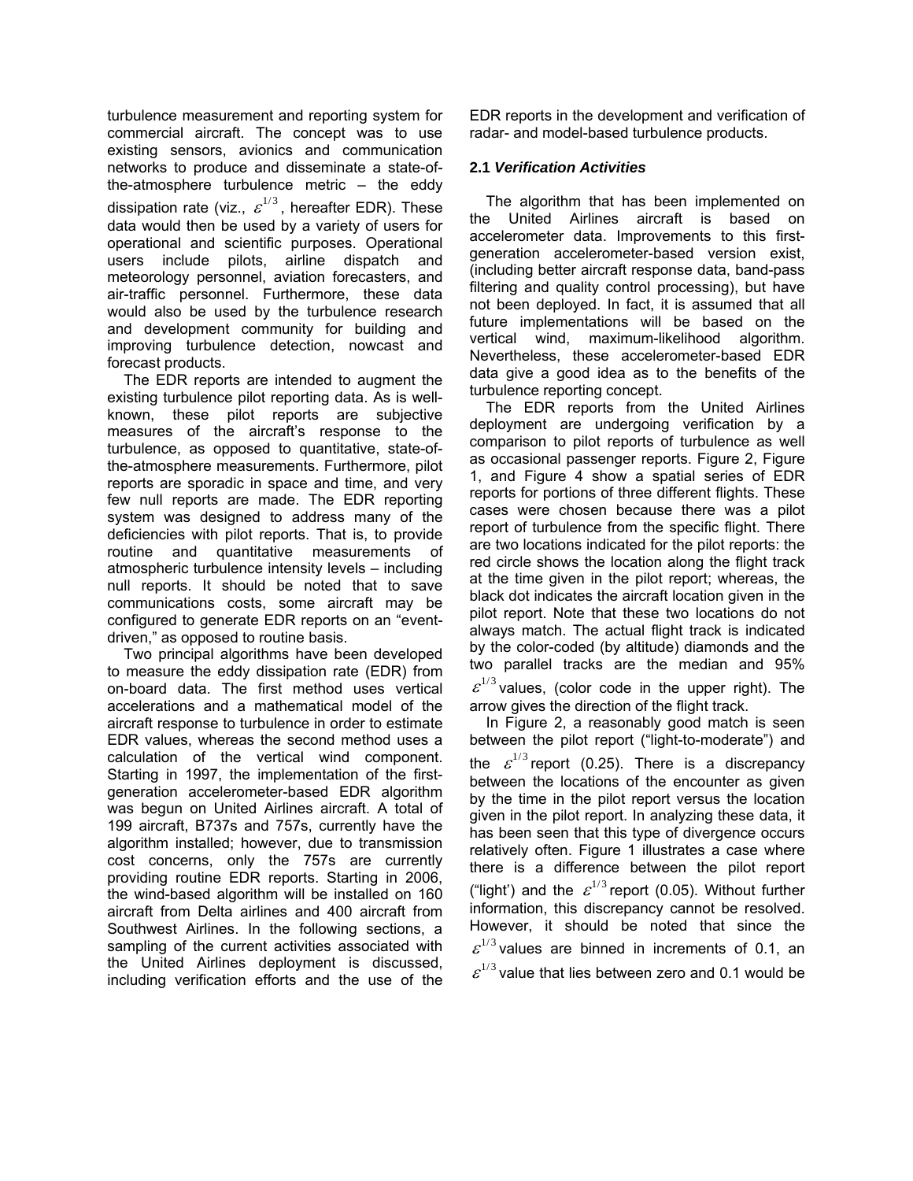turbulence measurement and reporting system for commercial aircraft. The concept was to use existing sensors, avionics and communication networks to produce and disseminate a state-ofthe-atmosphere turbulence metric – the eddy dissipation rate (viz.,  $\varepsilon^{1/3}$ , hereafter EDR). These data would then be used by a variety of users for operational and scientific purposes. Operational users include pilots, airline dispatch and meteorology personnel, aviation forecasters, and air-traffic personnel. Furthermore, these data would also be used by the turbulence research and development community for building and improving turbulence detection, nowcast and forecast products.

The EDR reports are intended to augment the existing turbulence pilot reporting data. As is wellknown, these pilot reports are subjective measures of the aircraft's response to the turbulence, as opposed to quantitative, state-ofthe-atmosphere measurements. Furthermore, pilot reports are sporadic in space and time, and very few null reports are made. The EDR reporting system was designed to address many of the deficiencies with pilot reports. That is, to provide routine and quantitative measurements of atmospheric turbulence intensity levels – including null reports. It should be noted that to save communications costs, some aircraft may be configured to generate EDR reports on an "eventdriven," as opposed to routine basis.

Two principal algorithms have been developed to measure the eddy dissipation rate (EDR) from on-board data. The first method uses vertical accelerations and a mathematical model of the aircraft response to turbulence in order to estimate EDR values, whereas the second method uses a calculation of the vertical wind component. Starting in 1997, the implementation of the firstgeneration accelerometer-based EDR algorithm was begun on United Airlines aircraft. A total of 199 aircraft, B737s and 757s, currently have the algorithm installed; however, due to transmission cost concerns, only the 757s are currently providing routine EDR reports. Starting in 2006, the wind-based algorithm will be installed on 160 aircraft from Delta airlines and 400 aircraft from Southwest Airlines. In the following sections, a sampling of the current activities associated with the United Airlines deployment is discussed, including verification efforts and the use of the EDR reports in the development and verification of radar- and model-based turbulence products.

### **2.1** *Verification Activities*

The algorithm that has been implemented on the United Airlines aircraft is based on accelerometer data. Improvements to this firstgeneration accelerometer-based version exist, (including better aircraft response data, band-pass filtering and quality control processing), but have not been deployed. In fact, it is assumed that all future implementations will be based on the vertical wind, maximum-likelihood algorithm. Nevertheless, these accelerometer-based EDR data give a good idea as to the benefits of the turbulence reporting concept.

The EDR reports from the United Airlines deployment are undergoing verification by a comparison to pilot reports of turbulence as well as occasional passenger reports. Figure 2, Figure 1, and Figure 4 show a spatial series of EDR reports for portions of three different flights. These cases were chosen because there was a pilot report of turbulence from the specific flight. There are two locations indicated for the pilot reports: the red circle shows the location along the flight track at the time given in the pilot report; whereas, the black dot indicates the aircraft location given in the pilot report. Note that these two locations do not always match. The actual flight track is indicated by the color-coded (by altitude) diamonds and the two parallel tracks are the median and 95%  $\varepsilon^{1/3}$  values, (color code in the upper right). The arrow gives the direction of the flight track.

In Figure 2, a reasonably good match is seen between the pilot report ("light-to-moderate") and the  $\varepsilon^{1/3}$  report (0.25). There is a discrepancy between the locations of the encounter as given by the time in the pilot report versus the location given in the pilot report. In analyzing these data, it has been seen that this type of divergence occurs relatively often. Figure 1 illustrates a case where there is a difference between the pilot report ("light') and the  $\varepsilon^{1/3}$  report (0.05). Without further information, this discrepancy cannot be resolved. However, it should be noted that since the  $\varepsilon^{1/3}$  values are binned in increments of 0.1, an  $\varepsilon^{1/3}$  value that lies between zero and 0.1 would be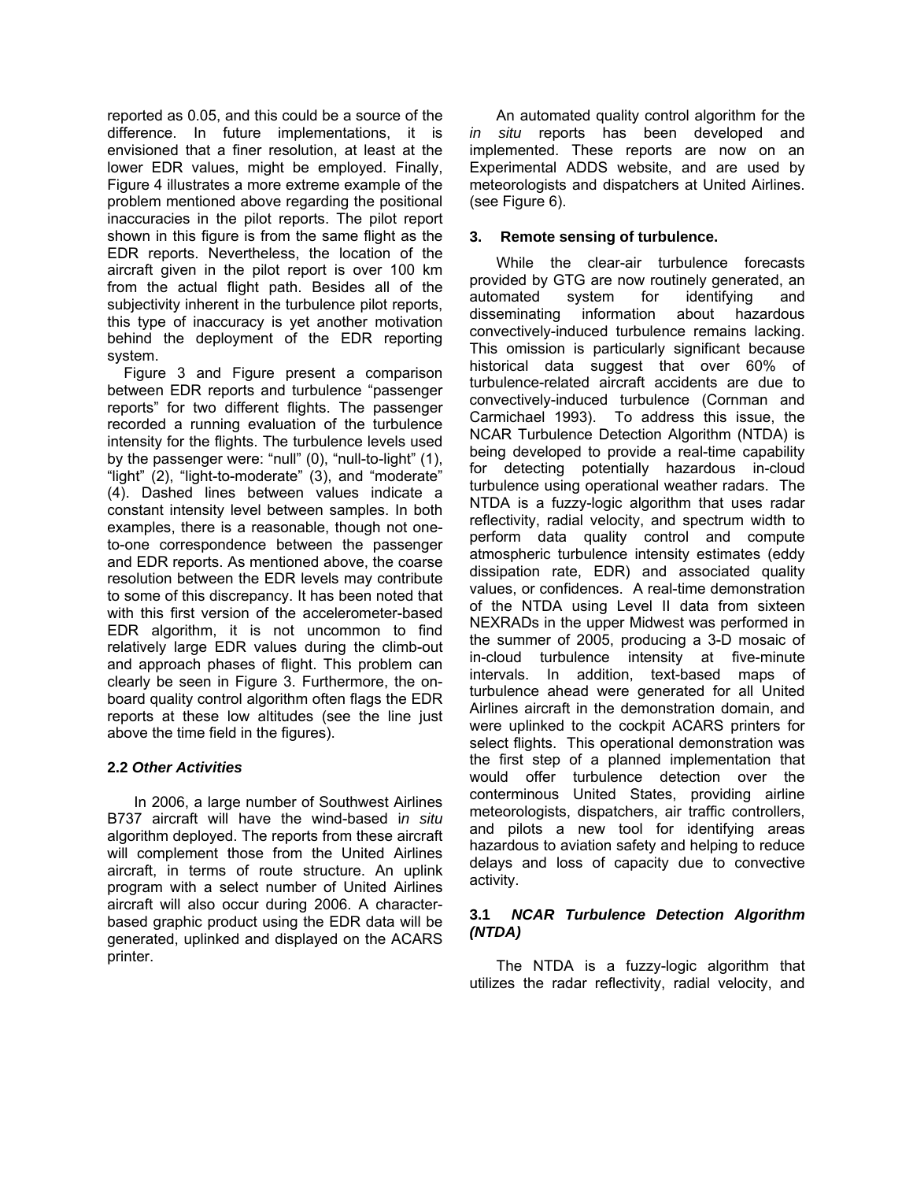reported as 0.05, and this could be a source of the difference. In future implementations, it is envisioned that a finer resolution, at least at the lower EDR values, might be employed. Finally, Figure 4 illustrates a more extreme example of the problem mentioned above regarding the positional inaccuracies in the pilot reports. The pilot report shown in this figure is from the same flight as the EDR reports. Nevertheless, the location of the aircraft given in the pilot report is over 100 km from the actual flight path. Besides all of the subjectivity inherent in the turbulence pilot reports, this type of inaccuracy is yet another motivation behind the deployment of the EDR reporting system.

 Figure 3 and Figure present a comparison between EDR reports and turbulence "passenger reports" for two different flights. The passenger recorded a running evaluation of the turbulence intensity for the flights. The turbulence levels used by the passenger were: "null" (0), "null-to-light" (1), "light" (2), "light-to-moderate" (3), and "moderate" (4). Dashed lines between values indicate a constant intensity level between samples. In both examples, there is a reasonable, though not oneto-one correspondence between the passenger and EDR reports. As mentioned above, the coarse resolution between the EDR levels may contribute to some of this discrepancy. It has been noted that with this first version of the accelerometer-based EDR algorithm, it is not uncommon to find relatively large EDR values during the climb-out and approach phases of flight. This problem can clearly be seen in Figure 3. Furthermore, the onboard quality control algorithm often flags the EDR reports at these low altitudes (see the line just above the time field in the figures).

## **2.2** *Other Activities*

In 2006, a large number of Southwest Airlines B737 aircraft will have the wind-based i*n situ* algorithm deployed. The reports from these aircraft will complement those from the United Airlines aircraft, in terms of route structure. An uplink program with a select number of United Airlines aircraft will also occur during 2006. A characterbased graphic product using the EDR data will be generated, uplinked and displayed on the ACARS printer.

An automated quality control algorithm for the *in situ* reports has been developed and implemented. These reports are now on an Experimental ADDS website, and are used by meteorologists and dispatchers at United Airlines. (see Figure 6).

### **3. Remote sensing of turbulence.**

While the clear-air turbulence forecasts provided by GTG are now routinely generated, an automated system for identifying and disseminating information about hazardous convectively-induced turbulence remains lacking. This omission is particularly significant because historical data suggest that over 60% of turbulence-related aircraft accidents are due to convectively-induced turbulence (Cornman and Carmichael 1993). To address this issue, the NCAR Turbulence Detection Algorithm (NTDA) is being developed to provide a real-time capability for detecting potentially hazardous in-cloud turbulence using operational weather radars. The NTDA is a fuzzy-logic algorithm that uses radar reflectivity, radial velocity, and spectrum width to perform data quality control and compute atmospheric turbulence intensity estimates (eddy dissipation rate, EDR) and associated quality values, or confidences. A real-time demonstration of the NTDA using Level II data from sixteen NEXRADs in the upper Midwest was performed in the summer of 2005, producing a 3-D mosaic of in-cloud turbulence intensity at five-minute intervals. In addition, text-based maps of turbulence ahead were generated for all United Airlines aircraft in the demonstration domain, and were uplinked to the cockpit ACARS printers for select flights. This operational demonstration was the first step of a planned implementation that would offer turbulence detection over the conterminous United States, providing airline meteorologists, dispatchers, air traffic controllers, and pilots a new tool for identifying areas hazardous to aviation safety and helping to reduce delays and loss of capacity due to convective activity.

### **3.1** *NCAR Turbulence Detection Algorithm (NTDA)*

The NTDA is a fuzzy-logic algorithm that utilizes the radar reflectivity, radial velocity, and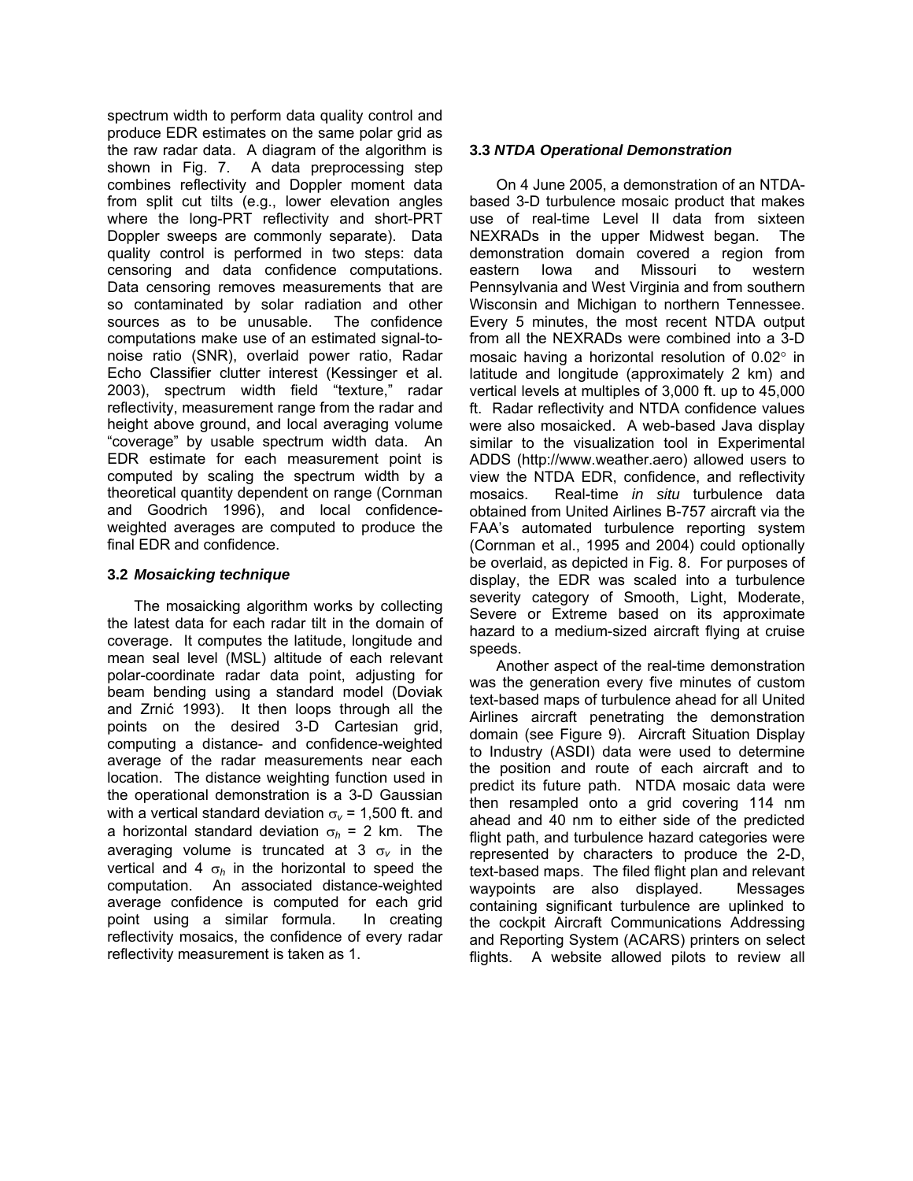spectrum width to perform data quality control and produce EDR estimates on the same polar grid as the raw radar data. A diagram of the algorithm is shown in Fig. 7. A data preprocessing step combines reflectivity and Doppler moment data from split cut tilts (e.g., lower elevation angles where the long-PRT reflectivity and short-PRT Doppler sweeps are commonly separate). Data quality control is performed in two steps: data censoring and data confidence computations. Data censoring removes measurements that are so contaminated by solar radiation and other sources as to be unusable. The confidence computations make use of an estimated signal-tonoise ratio (SNR), overlaid power ratio, Radar Echo Classifier clutter interest (Kessinger et al. 2003), spectrum width field "texture," radar reflectivity, measurement range from the radar and height above ground, and local averaging volume "coverage" by usable spectrum width data. An EDR estimate for each measurement point is computed by scaling the spectrum width by a theoretical quantity dependent on range (Cornman and Goodrich 1996), and local confidenceweighted averages are computed to produce the final EDR and confidence.

## **3.2** *Mosaicking technique*

The mosaicking algorithm works by collecting the latest data for each radar tilt in the domain of coverage. It computes the latitude, longitude and mean seal level (MSL) altitude of each relevant polar-coordinate radar data point, adjusting for beam bending using a standard model (Doviak and Zrnić 1993). It then loops through all the points on the desired 3-D Cartesian grid, computing a distance- and confidence-weighted average of the radar measurements near each location. The distance weighting function used in the operational demonstration is a 3-D Gaussian with a vertical standard deviation  $\sigma_{v}$  = 1,500 ft. and a horizontal standard deviation  $\sigma_h$  = 2 km. The averaging volume is truncated at 3 σ*v* in the vertical and 4  $\sigma_h$  in the horizontal to speed the computation. An associated distance-weighted average confidence is computed for each grid point using a similar formula. In creating reflectivity mosaics, the confidence of every radar reflectivity measurement is taken as 1.

### **3.3** *NTDA Operational Demonstration*

On 4 June 2005, a demonstration of an NTDAbased 3-D turbulence mosaic product that makes use of real-time Level II data from sixteen NEXRADs in the upper Midwest began. The demonstration domain covered a region from eastern Iowa and Missouri to western Pennsylvania and West Virginia and from southern Wisconsin and Michigan to northern Tennessee. Every 5 minutes, the most recent NTDA output from all the NEXRADs were combined into a 3-D mosaic having a horizontal resolution of 0.02° in latitude and longitude (approximately 2 km) and vertical levels at multiples of 3,000 ft. up to 45,000 ft. Radar reflectivity and NTDA confidence values were also mosaicked. A web-based Java display similar to the visualization tool in Experimental ADDS (http://www.weather.aero) allowed users to view the NTDA EDR, confidence, and reflectivity mosaics. Real-time *in situ* turbulence data obtained from United Airlines B-757 aircraft via the FAA's automated turbulence reporting system (Cornman et al., 1995 and 2004) could optionally be overlaid, as depicted in Fig. 8. For purposes of display, the EDR was scaled into a turbulence severity category of Smooth, Light, Moderate, Severe or Extreme based on its approximate hazard to a medium-sized aircraft flying at cruise speeds.

Another aspect of the real-time demonstration was the generation every five minutes of custom text-based maps of turbulence ahead for all United Airlines aircraft penetrating the demonstration domain (see Figure 9). Aircraft Situation Display to Industry (ASDI) data were used to determine the position and route of each aircraft and to predict its future path. NTDA mosaic data were then resampled onto a grid covering 114 nm ahead and 40 nm to either side of the predicted flight path, and turbulence hazard categories were represented by characters to produce the 2-D, text-based maps. The filed flight plan and relevant waypoints are also displayed. Messages containing significant turbulence are uplinked to the cockpit Aircraft Communications Addressing and Reporting System (ACARS) printers on select flights. A website allowed pilots to review all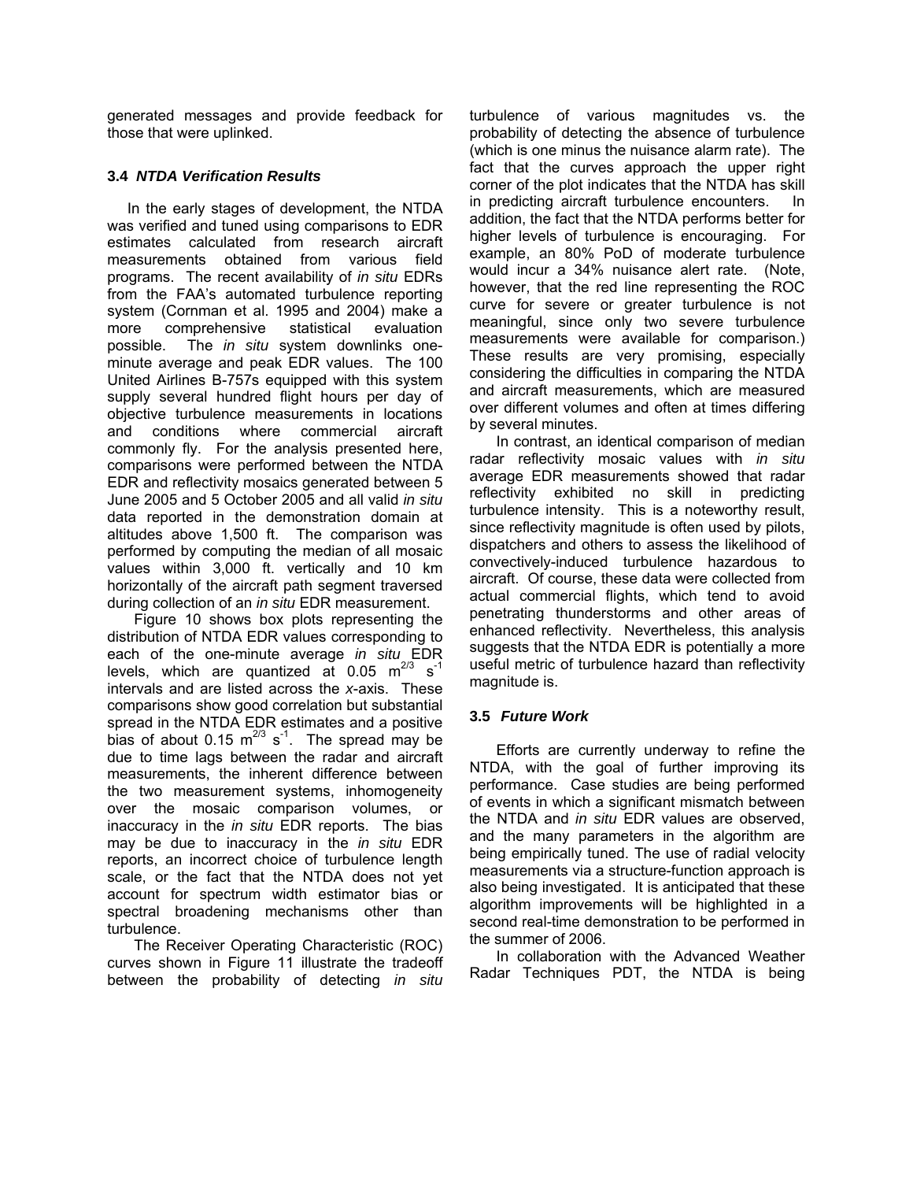generated messages and provide feedback for those that were uplinked.

# **3.4** *NTDA Verification Results*

In the early stages of development, the NTDA was verified and tuned using comparisons to EDR estimates calculated from research aircraft measurements obtained from various field programs. The recent availability of *in situ* EDRs from the FAA's automated turbulence reporting system (Cornman et al. 1995 and 2004) make a more comprehensive statistical evaluation possible. The *in situ* system downlinks oneminute average and peak EDR values. The 100 United Airlines B-757s equipped with this system supply several hundred flight hours per day of objective turbulence measurements in locations and conditions where commercial aircraft commonly fly. For the analysis presented here, comparisons were performed between the NTDA EDR and reflectivity mosaics generated between 5 June 2005 and 5 October 2005 and all valid *in situ* data reported in the demonstration domain at altitudes above 1,500 ft. The comparison was performed by computing the median of all mosaic values within 3,000 ft. vertically and 10 km horizontally of the aircraft path segment traversed during collection of an *in situ* EDR measurement.

Figure 10 shows box plots representing the distribution of NTDA EDR values corresponding to each of the one-minute average *in situ* EDR levels, which are quantized at 0.05  $m^{2/3}$  s<sup>-1</sup> intervals and are listed across the *x*-axis. These comparisons show good correlation but substantial spread in the NTDA EDR estimates and a positive bias of about 0.15  $m^{2/3}$  s<sup>-1</sup>. The spread may be due to time lags between the radar and aircraft measurements, the inherent difference between the two measurement systems, inhomogeneity over the mosaic comparison volumes, or inaccuracy in the *in situ* EDR reports. The bias may be due to inaccuracy in the *in situ* EDR reports, an incorrect choice of turbulence length scale, or the fact that the NTDA does not yet account for spectrum width estimator bias or spectral broadening mechanisms other than turbulence.

The Receiver Operating Characteristic (ROC) curves shown in Figure 11 illustrate the tradeoff between the probability of detecting *in situ* turbulence of various magnitudes vs. the probability of detecting the absence of turbulence (which is one minus the nuisance alarm rate). The fact that the curves approach the upper right corner of the plot indicates that the NTDA has skill in predicting aircraft turbulence encounters. In addition, the fact that the NTDA performs better for higher levels of turbulence is encouraging. For example, an 80% PoD of moderate turbulence would incur a 34% nuisance alert rate. (Note, however, that the red line representing the ROC curve for severe or greater turbulence is not meaningful, since only two severe turbulence measurements were available for comparison.) These results are very promising, especially considering the difficulties in comparing the NTDA and aircraft measurements, which are measured over different volumes and often at times differing by several minutes.

 In contrast, an identical comparison of median radar reflectivity mosaic values with *in situ* average EDR measurements showed that radar reflectivity exhibited no skill in predicting turbulence intensity. This is a noteworthy result, since reflectivity magnitude is often used by pilots, dispatchers and others to assess the likelihood of convectively-induced turbulence hazardous to aircraft. Of course, these data were collected from actual commercial flights, which tend to avoid penetrating thunderstorms and other areas of enhanced reflectivity. Nevertheless, this analysis suggests that the NTDA EDR is potentially a more useful metric of turbulence hazard than reflectivity magnitude is.

## **3.5** *Future Work*

Efforts are currently underway to refine the NTDA, with the goal of further improving its performance. Case studies are being performed of events in which a significant mismatch between the NTDA and *in situ* EDR values are observed, and the many parameters in the algorithm are being empirically tuned. The use of radial velocity measurements via a structure-function approach is also being investigated. It is anticipated that these algorithm improvements will be highlighted in a second real-time demonstration to be performed in the summer of 2006.

In collaboration with the Advanced Weather Radar Techniques PDT, the NTDA is being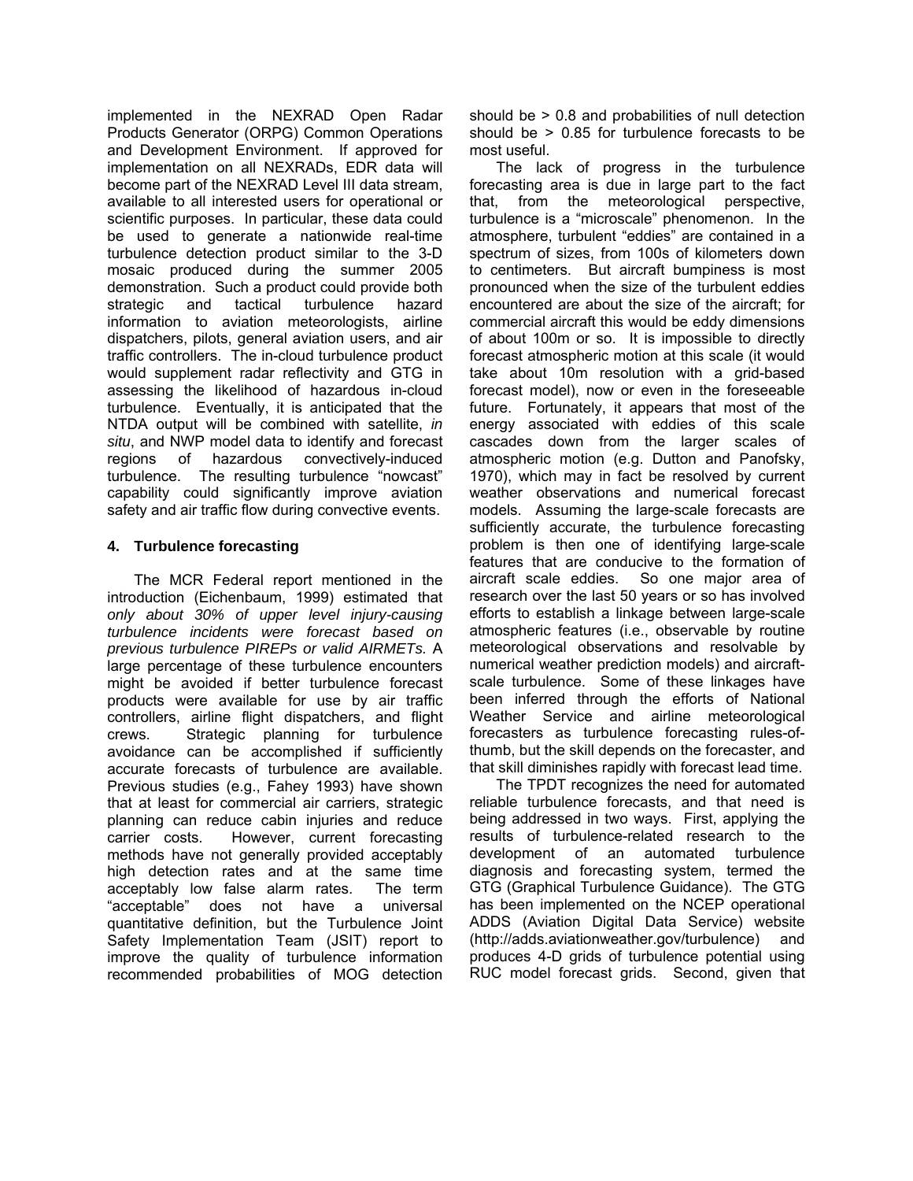implemented in the NEXRAD Open Radar Products Generator (ORPG) Common Operations and Development Environment. If approved for implementation on all NEXRADs, EDR data will become part of the NEXRAD Level III data stream, available to all interested users for operational or scientific purposes. In particular, these data could be used to generate a nationwide real-time turbulence detection product similar to the 3-D mosaic produced during the summer 2005 demonstration. Such a product could provide both strategic and tactical turbulence hazard information to aviation meteorologists, airline dispatchers, pilots, general aviation users, and air traffic controllers. The in-cloud turbulence product would supplement radar reflectivity and GTG in assessing the likelihood of hazardous in-cloud turbulence. Eventually, it is anticipated that the NTDA output will be combined with satellite, *in situ*, and NWP model data to identify and forecast regions of hazardous convectively-induced turbulence. The resulting turbulence "nowcast" capability could significantly improve aviation safety and air traffic flow during convective events.

## **4. Turbulence forecasting**

The MCR Federal report mentioned in the introduction (Eichenbaum, 1999) estimated that *only about 30% of upper level injury-causing turbulence incidents were forecast based on previous turbulence PIREPs or valid AIRMETs.* A large percentage of these turbulence encounters might be avoided if better turbulence forecast products were available for use by air traffic controllers, airline flight dispatchers, and flight crews. Strategic planning for turbulence avoidance can be accomplished if sufficiently accurate forecasts of turbulence are available. Previous studies (e.g., Fahey 1993) have shown that at least for commercial air carriers, strategic planning can reduce cabin injuries and reduce carrier costs. However, current forecasting methods have not generally provided acceptably high detection rates and at the same time acceptably low false alarm rates. The term "acceptable" does not have a universal quantitative definition, but the Turbulence Joint Safety Implementation Team (JSIT) report to improve the quality of turbulence information recommended probabilities of MOG detection should be > 0.8 and probabilities of null detection should be > 0.85 for turbulence forecasts to be most useful.

The lack of progress in the turbulence forecasting area is due in large part to the fact that, from the meteorological perspective, turbulence is a "microscale" phenomenon. In the atmosphere, turbulent "eddies" are contained in a spectrum of sizes, from 100s of kilometers down to centimeters. But aircraft bumpiness is most pronounced when the size of the turbulent eddies encountered are about the size of the aircraft; for commercial aircraft this would be eddy dimensions of about 100m or so. It is impossible to directly forecast atmospheric motion at this scale (it would take about 10m resolution with a grid-based forecast model), now or even in the foreseeable future. Fortunately, it appears that most of the energy associated with eddies of this scale cascades down from the larger scales of atmospheric motion (e.g. Dutton and Panofsky, 1970), which may in fact be resolved by current weather observations and numerical forecast models. Assuming the large-scale forecasts are sufficiently accurate, the turbulence forecasting problem is then one of identifying large-scale features that are conducive to the formation of aircraft scale eddies. So one major area of research over the last 50 years or so has involved efforts to establish a linkage between large-scale atmospheric features (i.e., observable by routine meteorological observations and resolvable by numerical weather prediction models) and aircraftscale turbulence. Some of these linkages have been inferred through the efforts of National Weather Service and airline meteorological forecasters as turbulence forecasting rules-ofthumb, but the skill depends on the forecaster, and that skill diminishes rapidly with forecast lead time.

The TPDT recognizes the need for automated reliable turbulence forecasts, and that need is being addressed in two ways. First, applying the results of turbulence-related research to the development of an automated turbulence diagnosis and forecasting system, termed the GTG (Graphical Turbulence Guidance). The GTG has been implemented on the NCEP operational ADDS (Aviation Digital Data Service) website (http://adds.aviationweather.gov/turbulence) and produces 4-D grids of turbulence potential using RUC model forecast grids. Second, given that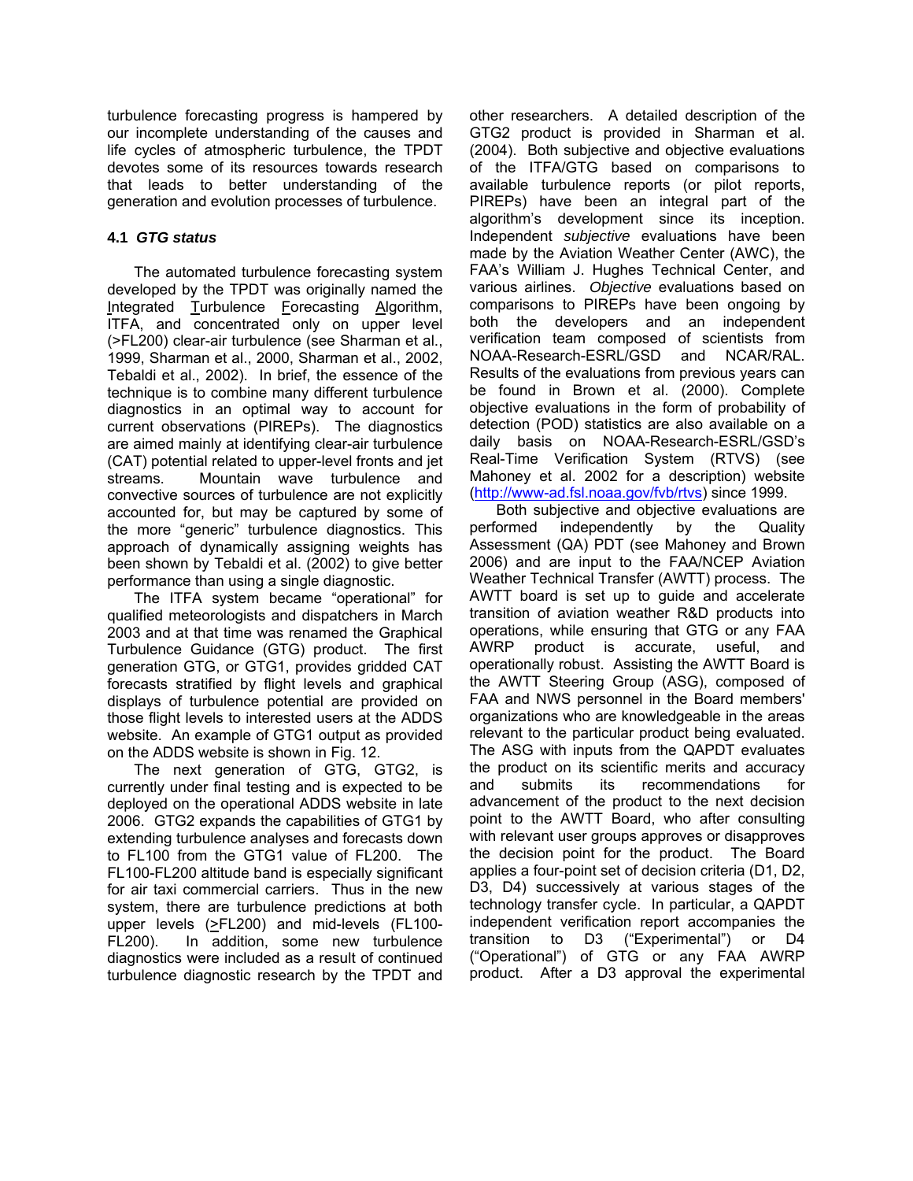turbulence forecasting progress is hampered by our incomplete understanding of the causes and life cycles of atmospheric turbulence, the TPDT devotes some of its resources towards research that leads to better understanding of the generation and evolution processes of turbulence.

# **4.1** *GTG status*

The automated turbulence forecasting system developed by the TPDT was originally named the Integrated Turbulence Forecasting Algorithm, ITFA, and concentrated only on upper level (>FL200) clear-air turbulence (see Sharman et al., 1999, Sharman et al., 2000, Sharman et al., 2002, Tebaldi et al., 2002). In brief, the essence of the technique is to combine many different turbulence diagnostics in an optimal way to account for current observations (PIREPs). The diagnostics are aimed mainly at identifying clear-air turbulence (CAT) potential related to upper-level fronts and jet streams. Mountain wave turbulence and convective sources of turbulence are not explicitly accounted for, but may be captured by some of the more "generic" turbulence diagnostics. This approach of dynamically assigning weights has been shown by Tebaldi et al. (2002) to give better performance than using a single diagnostic.

The ITFA system became "operational" for qualified meteorologists and dispatchers in March 2003 and at that time was renamed the Graphical Turbulence Guidance (GTG) product. The first generation GTG, or GTG1, provides gridded CAT forecasts stratified by flight levels and graphical displays of turbulence potential are provided on those flight levels to interested users at the ADDS website. An example of GTG1 output as provided on the ADDS website is shown in Fig. 12.

The next generation of GTG, GTG2, is currently under final testing and is expected to be deployed on the operational ADDS website in late 2006. GTG2 expands the capabilities of GTG1 by extending turbulence analyses and forecasts down to FL100 from the GTG1 value of FL200. The FL100-FL200 altitude band is especially significant for air taxi commercial carriers. Thus in the new system, there are turbulence predictions at both upper levels (>FL200) and mid-levels (FL100- FL200). In addition, some new turbulence diagnostics were included as a result of continued turbulence diagnostic research by the TPDT and

other researchers. A detailed description of the GTG2 product is provided in Sharman et al. (2004). Both subjective and objective evaluations of the ITFA/GTG based on comparisons to available turbulence reports (or pilot reports, PIREPs) have been an integral part of the algorithm's development since its inception. Independent *subjective* evaluations have been made by the Aviation Weather Center (AWC), the FAA's William J. Hughes Technical Center, and various airlines. *Objective* evaluations based on comparisons to PIREPs have been ongoing by both the developers and an independent verification team composed of scientists from NOAA-Research-ESRL/GSD and NCAR/RAL. Results of the evaluations from previous years can be found in Brown et al. (2000). Complete objective evaluations in the form of probability of detection (POD) statistics are also available on a daily basis on NOAA-Research-ESRL/GSD's Real-Time Verification System (RTVS) (see Mahoney et al. 2002 for a description) website [\(http://www-ad.fsl.noaa.gov/fvb/rtvs](http://www-ad.fsl.noaa.gov/fvb/rtvs)) since 1999.

Both subjective and objective evaluations are performed independently by the Quality Assessment (QA) PDT (see Mahoney and Brown 2006) and are input to the FAA/NCEP Aviation Weather Technical Transfer (AWTT) process. The AWTT board is set up to guide and accelerate transition of aviation weather R&D products into operations, while ensuring that GTG or any FAA AWRP product is accurate, useful, and operationally robust. Assisting the AWTT Board is the AWTT Steering Group (ASG), composed of FAA and NWS personnel in the Board members' organizations who are knowledgeable in the areas relevant to the particular product being evaluated. The ASG with inputs from the QAPDT evaluates the product on its scientific merits and accuracy and submits its recommendations for advancement of the product to the next decision point to the AWTT Board, who after consulting with relevant user groups approves or disapproves the decision point for the product. The Board applies a four-point set of decision criteria (D1, D2, D3, D4) successively at various stages of the technology transfer cycle. In particular, a QAPDT independent verification report accompanies the transition to D3 ("Experimental") or D4 ("Operational") of GTG or any FAA AWRP product. After a D3 approval the experimental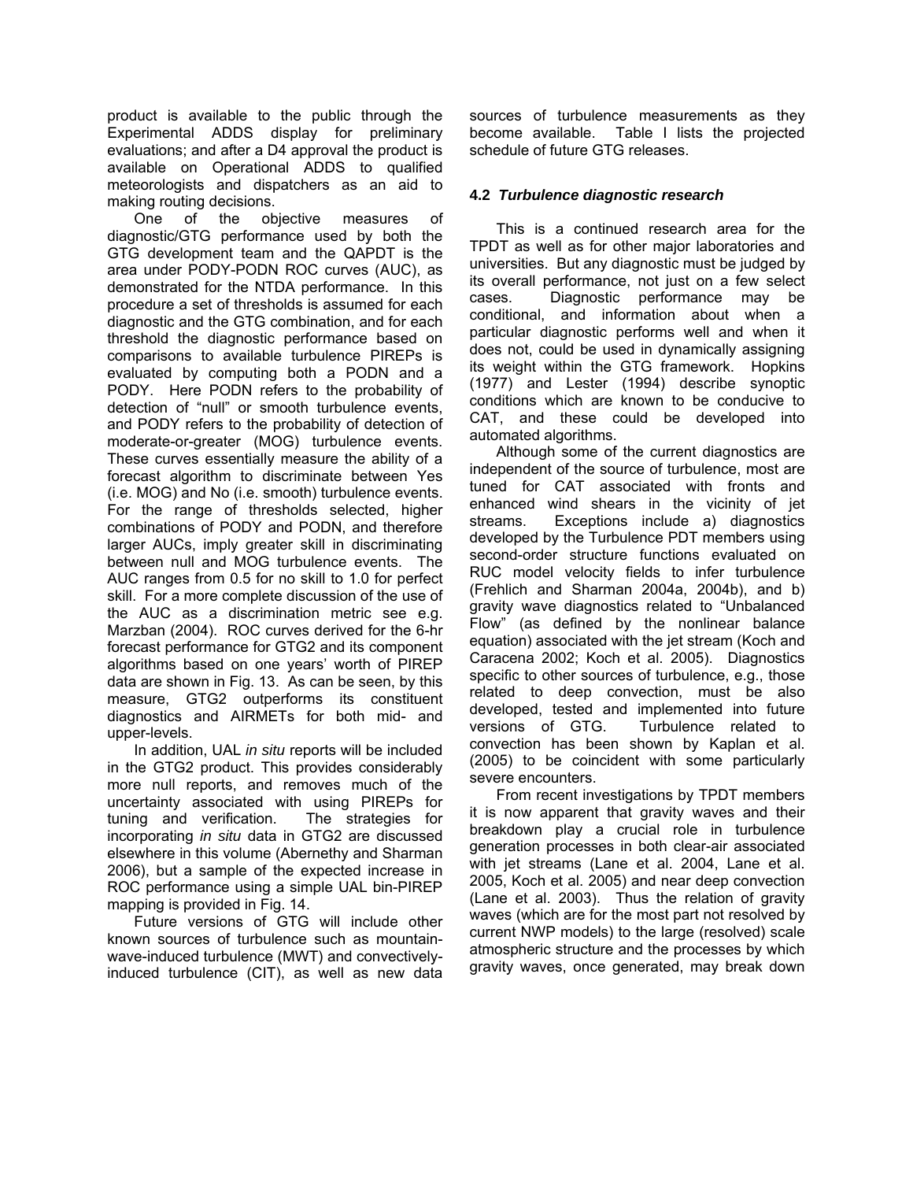product is available to the public through the Experimental ADDS display for preliminary evaluations; and after a D4 approval the product is available on Operational ADDS to qualified meteorologists and dispatchers as an aid to making routing decisions.

One of the objective measures of diagnostic/GTG performance used by both the GTG development team and the QAPDT is the area under PODY-PODN ROC curves (AUC), as demonstrated for the NTDA performance. In this procedure a set of thresholds is assumed for each diagnostic and the GTG combination, and for each threshold the diagnostic performance based on comparisons to available turbulence PIREPs is evaluated by computing both a PODN and a PODY. Here PODN refers to the probability of detection of "null" or smooth turbulence events, and PODY refers to the probability of detection of moderate-or-greater (MOG) turbulence events. These curves essentially measure the ability of a forecast algorithm to discriminate between Yes (i.e. MOG) and No (i.e. smooth) turbulence events. For the range of thresholds selected, higher combinations of PODY and PODN, and therefore larger AUCs, imply greater skill in discriminating between null and MOG turbulence events. The AUC ranges from 0.5 for no skill to 1.0 for perfect skill. For a more complete discussion of the use of the AUC as a discrimination metric see e.g. Marzban (2004). ROC curves derived for the 6-hr forecast performance for GTG2 and its component algorithms based on one years' worth of PIREP data are shown in Fig. 13. As can be seen, by this measure, GTG2 outperforms its constituent diagnostics and AIRMETs for both mid- and upper-levels.

In addition, UAL *in situ* reports will be included in the GTG2 product. This provides considerably more null reports, and removes much of the uncertainty associated with using PIREPs for tuning and verification. The strategies for incorporating *in situ* data in GTG2 are discussed elsewhere in this volume (Abernethy and Sharman 2006), but a sample of the expected increase in ROC performance using a simple UAL bin-PIREP mapping is provided in Fig. 14.

Future versions of GTG will include other known sources of turbulence such as mountainwave-induced turbulence (MWT) and convectivelyinduced turbulence (CIT), as well as new data sources of turbulence measurements as they become available. Table I lists the projected schedule of future GTG releases.

## **4.2** *Turbulence diagnostic research*

This is a continued research area for the TPDT as well as for other major laboratories and universities. But any diagnostic must be judged by its overall performance, not just on a few select cases. Diagnostic performance may be conditional, and information about when a particular diagnostic performs well and when it does not, could be used in dynamically assigning its weight within the GTG framework. Hopkins (1977) and Lester (1994) describe synoptic conditions which are known to be conducive to CAT, and these could be developed into automated algorithms.

Although some of the current diagnostics are independent of the source of turbulence, most are tuned for CAT associated with fronts and enhanced wind shears in the vicinity of jet streams. Exceptions include a) diagnostics developed by the Turbulence PDT members using second-order structure functions evaluated on RUC model velocity fields to infer turbulence (Frehlich and Sharman 2004a, 2004b), and b) gravity wave diagnostics related to "Unbalanced Flow" (as defined by the nonlinear balance equation) associated with the jet stream (Koch and Caracena 2002; Koch et al. 2005). Diagnostics specific to other sources of turbulence, e.g., those related to deep convection, must be also developed, tested and implemented into future versions of GTG. Turbulence related to convection has been shown by Kaplan et al. (2005) to be coincident with some particularly severe encounters.

From recent investigations by TPDT members it is now apparent that gravity waves and their breakdown play a crucial role in turbulence generation processes in both clear-air associated with jet streams (Lane et al. 2004, Lane et al. 2005, Koch et al. 2005) and near deep convection (Lane et al. 2003). Thus the relation of gravity waves (which are for the most part not resolved by current NWP models) to the large (resolved) scale atmospheric structure and the processes by which gravity waves, once generated, may break down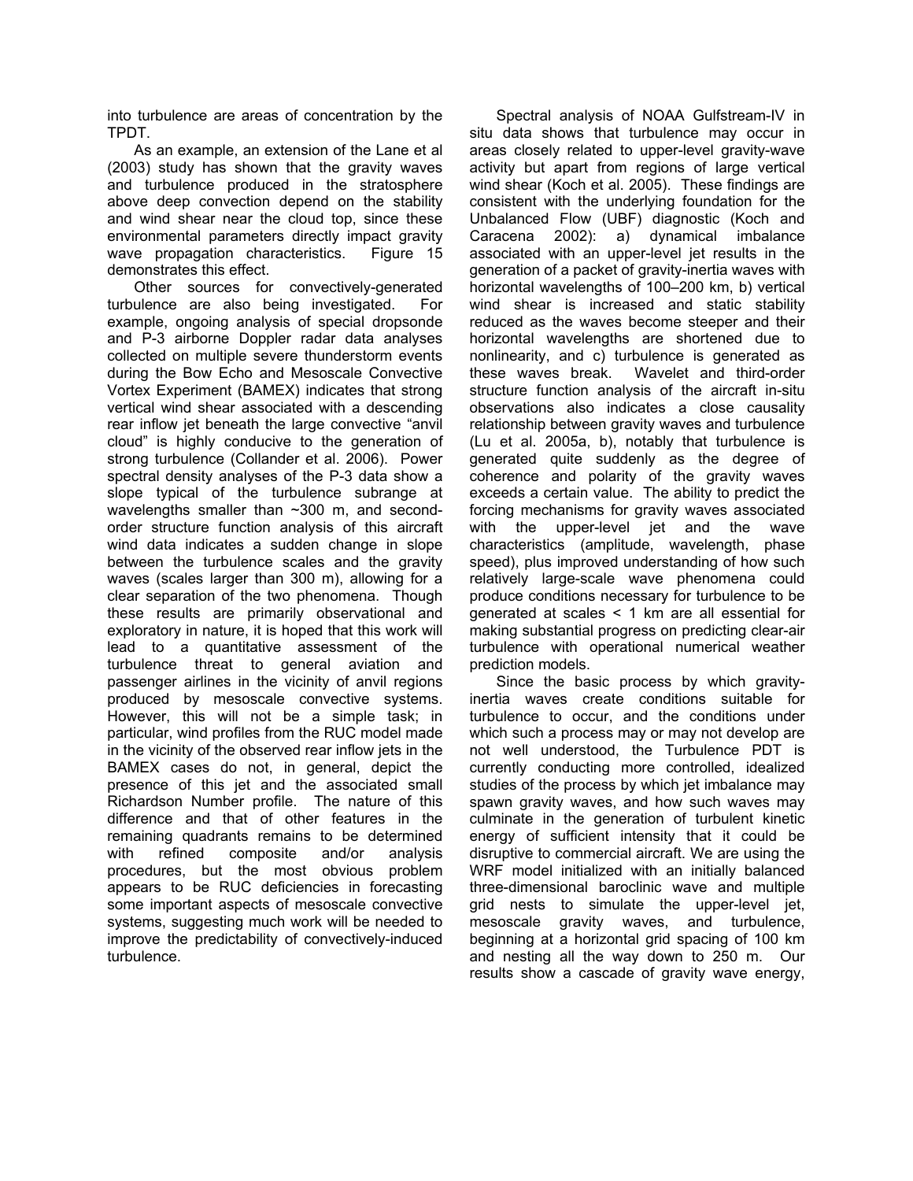into turbulence are areas of concentration by the TPDT.

As an example, an extension of the Lane et al (2003) study has shown that the gravity waves and turbulence produced in the stratosphere above deep convection depend on the stability and wind shear near the cloud top, since these environmental parameters directly impact gravity wave propagation characteristics. Figure 15 demonstrates this effect.

Other sources for convectively-generated turbulence are also being investigated. For example, ongoing analysis of special dropsonde and P-3 airborne Doppler radar data analyses collected on multiple severe thunderstorm events during the Bow Echo and Mesoscale Convective Vortex Experiment (BAMEX) indicates that strong vertical wind shear associated with a descending rear inflow jet beneath the large convective "anvil cloud" is highly conducive to the generation of strong turbulence (Collander et al. 2006). Power spectral density analyses of the P-3 data show a slope typical of the turbulence subrange at wavelengths smaller than ~300 m, and secondorder structure function analysis of this aircraft wind data indicates a sudden change in slope between the turbulence scales and the gravity waves (scales larger than 300 m), allowing for a clear separation of the two phenomena. Though these results are primarily observational and exploratory in nature, it is hoped that this work will lead to a quantitative assessment of the turbulence threat to general aviation and passenger airlines in the vicinity of anvil regions produced by mesoscale convective systems. However, this will not be a simple task; in particular, wind profiles from the RUC model made in the vicinity of the observed rear inflow jets in the BAMEX cases do not, in general, depict the presence of this jet and the associated small Richardson Number profile. The nature of this difference and that of other features in the remaining quadrants remains to be determined with refined composite and/or analysis procedures, but the most obvious problem appears to be RUC deficiencies in forecasting some important aspects of mesoscale convective systems, suggesting much work will be needed to improve the predictability of convectively-induced turbulence.

Spectral analysis of NOAA Gulfstream-IV in situ data shows that turbulence may occur in areas closely related to upper-level gravity-wave activity but apart from regions of large vertical wind shear (Koch et al. 2005). These findings are consistent with the underlying foundation for the Unbalanced Flow (UBF) diagnostic (Koch and Caracena 2002): a) dynamical imbalance associated with an upper-level jet results in the generation of a packet of gravity-inertia waves with horizontal wavelengths of 100–200 km, b) vertical wind shear is increased and static stability reduced as the waves become steeper and their horizontal wavelengths are shortened due to nonlinearity, and c) turbulence is generated as these waves break. Wavelet and third-order structure function analysis of the aircraft in-situ observations also indicates a close causality relationship between gravity waves and turbulence (Lu et al. 2005a, b), notably that turbulence is generated quite suddenly as the degree of coherence and polarity of the gravity waves exceeds a certain value. The ability to predict the forcing mechanisms for gravity waves associated with the upper-level jet and the wave characteristics (amplitude, wavelength, phase speed), plus improved understanding of how such relatively large-scale wave phenomena could produce conditions necessary for turbulence to be generated at scales < 1 km are all essential for making substantial progress on predicting clear-air turbulence with operational numerical weather prediction models.

Since the basic process by which gravityinertia waves create conditions suitable for turbulence to occur, and the conditions under which such a process may or may not develop are not well understood, the Turbulence PDT is currently conducting more controlled, idealized studies of the process by which jet imbalance may spawn gravity waves, and how such waves may culminate in the generation of turbulent kinetic energy of sufficient intensity that it could be disruptive to commercial aircraft. We are using the WRF model initialized with an initially balanced three-dimensional baroclinic wave and multiple grid nests to simulate the upper-level jet, mesoscale gravity waves, and turbulence, beginning at a horizontal grid spacing of 100 km and nesting all the way down to 250 m. Our results show a cascade of gravity wave energy,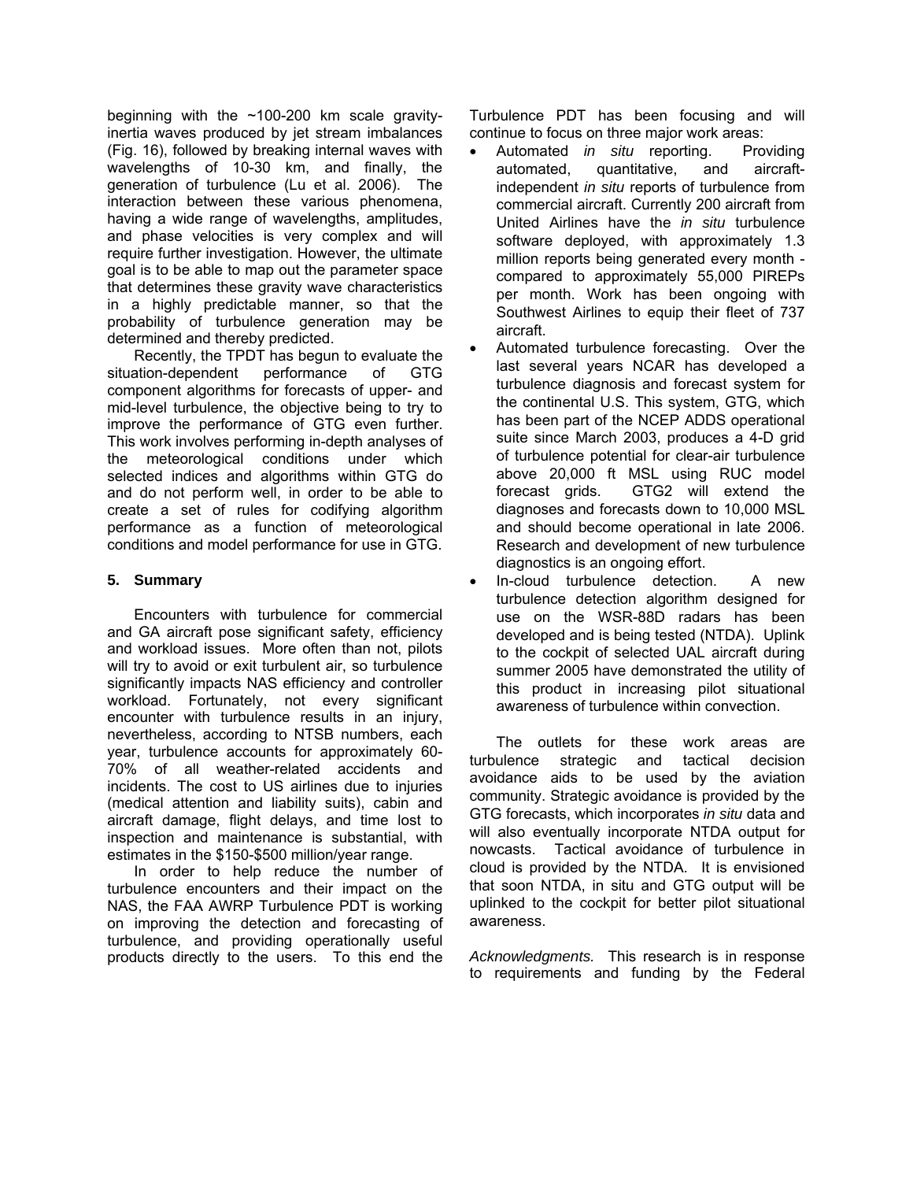beginning with the ~100-200 km scale gravityinertia waves produced by jet stream imbalances (Fig. 16), followed by breaking internal waves with wavelengths of 10-30 km, and finally, the generation of turbulence (Lu et al. 2006). The interaction between these various phenomena, having a wide range of wavelengths, amplitudes, and phase velocities is very complex and will require further investigation. However, the ultimate goal is to be able to map out the parameter space that determines these gravity wave characteristics in a highly predictable manner, so that the probability of turbulence generation may be determined and thereby predicted.

Recently, the TPDT has begun to evaluate the situation-dependent performance of GTG component algorithms for forecasts of upper- and mid-level turbulence, the objective being to try to improve the performance of GTG even further. This work involves performing in-depth analyses of the meteorological conditions under which selected indices and algorithms within GTG do and do not perform well, in order to be able to create a set of rules for codifying algorithm performance as a function of meteorological conditions and model performance for use in GTG.

## **5. Summary**

Encounters with turbulence for commercial and GA aircraft pose significant safety, efficiency and workload issues. More often than not, pilots will try to avoid or exit turbulent air, so turbulence significantly impacts NAS efficiency and controller workload. Fortunately, not every significant encounter with turbulence results in an injury, nevertheless, according to NTSB numbers, each year, turbulence accounts for approximately 60- 70% of all weather-related accidents and incidents. The cost to US airlines due to injuries (medical attention and liability suits), cabin and aircraft damage, flight delays, and time lost to inspection and maintenance is substantial, with estimates in the \$150-\$500 million/year range.

In order to help reduce the number of turbulence encounters and their impact on the NAS, the FAA AWRP Turbulence PDT is working on improving the detection and forecasting of turbulence, and providing operationally useful products directly to the users. To this end the

Turbulence PDT has been focusing and will continue to focus on three major work areas:

- Automated *in situ* reporting. Providing automated, quantitative, and aircraftindependent *in situ* reports of turbulence from commercial aircraft. Currently 200 aircraft from United Airlines have the *in situ* turbulence software deployed, with approximately 1.3 million reports being generated every month compared to approximately 55,000 PIREPs per month. Work has been ongoing with Southwest Airlines to equip their fleet of 737 aircraft.
- Automated turbulence forecasting. Over the last several years NCAR has developed a turbulence diagnosis and forecast system for the continental U.S. This system, GTG, which has been part of the NCEP ADDS operational suite since March 2003, produces a 4-D grid of turbulence potential for clear-air turbulence above 20,000 ft MSL using RUC model forecast grids. GTG2 will extend the diagnoses and forecasts down to 10,000 MSL and should become operational in late 2006. Research and development of new turbulence diagnostics is an ongoing effort.
- In-cloud turbulence detection. A new turbulence detection algorithm designed for use on the WSR-88D radars has been developed and is being tested (NTDA). Uplink to the cockpit of selected UAL aircraft during summer 2005 have demonstrated the utility of this product in increasing pilot situational awareness of turbulence within convection.

The outlets for these work areas are turbulence strategic and tactical decision avoidance aids to be used by the aviation community. Strategic avoidance is provided by the GTG forecasts, which incorporates *in situ* data and will also eventually incorporate NTDA output for nowcasts. Tactical avoidance of turbulence in cloud is provided by the NTDA. It is envisioned that soon NTDA, in situ and GTG output will be uplinked to the cockpit for better pilot situational awareness.

*Acknowledgments.* This research is in response to requirements and funding by the Federal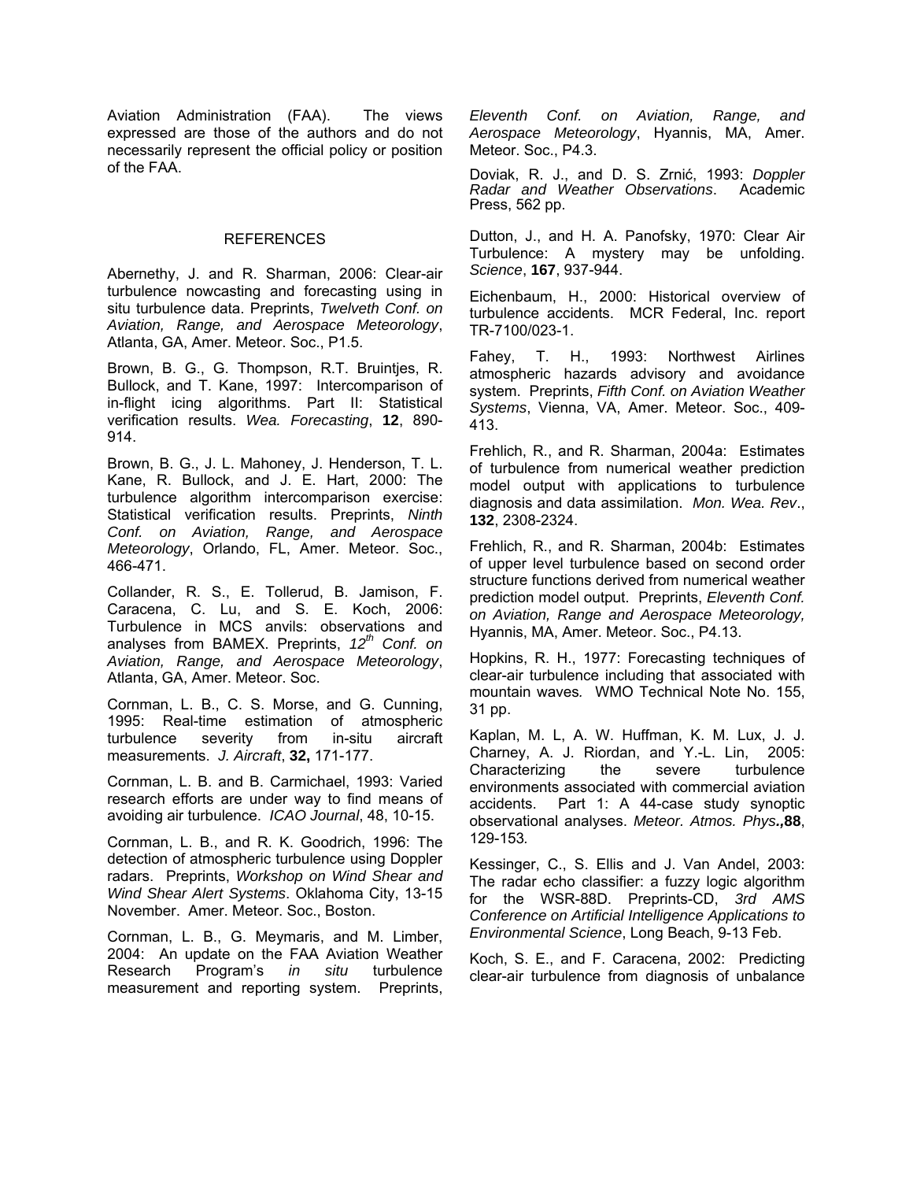Aviation Administration (FAA). The views expressed are those of the authors and do not necessarily represent the official policy or position of the FAA.

#### REFERENCES

Abernethy, J. and R. Sharman, 2006: Clear-air turbulence nowcasting and forecasting using in situ turbulence data. Preprints, *Twelveth Conf. on Aviation, Range, and Aerospace Meteorology*, Atlanta, GA, Amer. Meteor. Soc., P1.5.

Brown, B. G., G. Thompson, R.T. Bruintjes, R. Bullock, and T. Kane, 1997: Intercomparison of in-flight icing algorithms. Part II: Statistical verification results. *Wea. Forecasting*, **12**, 890- 914.

Brown, B. G., J. L. Mahoney, J. Henderson, T. L. Kane, R. Bullock, and J. E. Hart, 2000: The turbulence algorithm intercomparison exercise: Statistical verification results. Preprints, *Ninth Conf. on Aviation, Range, and Aerospace Meteorology*, Orlando, FL, Amer. Meteor. Soc., 466-471.

Collander, R. S., E. Tollerud, B. Jamison, F. Caracena, C. Lu, and S. E. Koch, 2006: Turbulence in MCS anvils: observations and analyses from BAMEX. Preprints, 12<sup>th</sup> Conf. on *Aviation, Range, and Aerospace Meteorology*, Atlanta, GA, Amer. Meteor. Soc.

Cornman, L. B., C. S. Morse, and G. Cunning, 1995: Real-time estimation of atmospheric<br>turbulence severity from in-situ aircraft turbulence severity from in-situ measurements. *J. Aircraft*, **32,** 171-177.

Cornman, L. B. and B. Carmichael, 1993: Varied research efforts are under way to find means of avoiding air turbulence. *ICAO Journal*, 48, 10-15.

Cornman, L. B., and R. K. Goodrich, 1996: The detection of atmospheric turbulence using Doppler radars. Preprints, *Workshop on Wind Shear and Wind Shear Alert Systems*. Oklahoma City, 13-15 November. Amer. Meteor. Soc., Boston.

Cornman, L. B., G. Meymaris, and M. Limber, 2004: An update on the FAA Aviation Weather Research Program's *in situ* turbulence measurement and reporting system. Preprints,

*Eleventh Conf. on Aviation, Range, and Aerospace Meteorology*, Hyannis, MA, Amer. Meteor. Soc., P4.3.

Doviak, R. J., and D. S. Zrnić, 1993: *Doppler Radar and Weather Observations*. Academic Press, 562 pp.

Dutton, J., and H. A. Panofsky, 1970: Clear Air Turbulence: A mystery may be unfolding. *Science*, **167**, 937-944.

Eichenbaum, H., 2000: Historical overview of turbulence accidents. MCR Federal, Inc. report TR-7100/023-1.

Fahey, T. H., 1993: Northwest Airlines atmospheric hazards advisory and avoidance system. Preprints, *Fifth Conf. on Aviation Weather Systems*, Vienna, VA, Amer. Meteor. Soc., 409- 413.

Frehlich, R., and R. Sharman, 2004a: Estimates of turbulence from numerical weather prediction model output with applications to turbulence diagnosis and data assimilation. *Mon. Wea. Rev*., **132**, 2308-2324.

Frehlich, R., and R. Sharman, 2004b: Estimates of upper level turbulence based on second order structure functions derived from numerical weather prediction model output. Preprints, *Eleventh Conf. on Aviation, Range and Aerospace Meteorology,*  Hyannis, MA, Amer. Meteor. Soc., P4.13.

Hopkins, R. H., 1977: Forecasting techniques of clear-air turbulence including that associated with mountain waves*.* WMO Technical Note No. 155, 31 pp.

Kaplan, M. L, A. W. Huffman, K. M. Lux, J. J. Charney, A. J. Riordan, and Y.-L. Lin, 2005: Characterizing the severe turbulence environments associated with commercial aviation accidents. Part 1: A 44-case study synoptic observational analyses. *Meteor. Atmos. Phys.,***88**, 129-153*.*

Kessinger, C., S. Ellis and J. Van Andel, 2003: The radar echo classifier: a fuzzy logic algorithm for the WSR-88D. Preprints-CD, *3rd AMS Conference on Artificial Intelligence Applications to Environmental Science*, Long Beach, 9-13 Feb.

Koch, S. E., and F. Caracena, 2002: Predicting clear-air turbulence from diagnosis of unbalance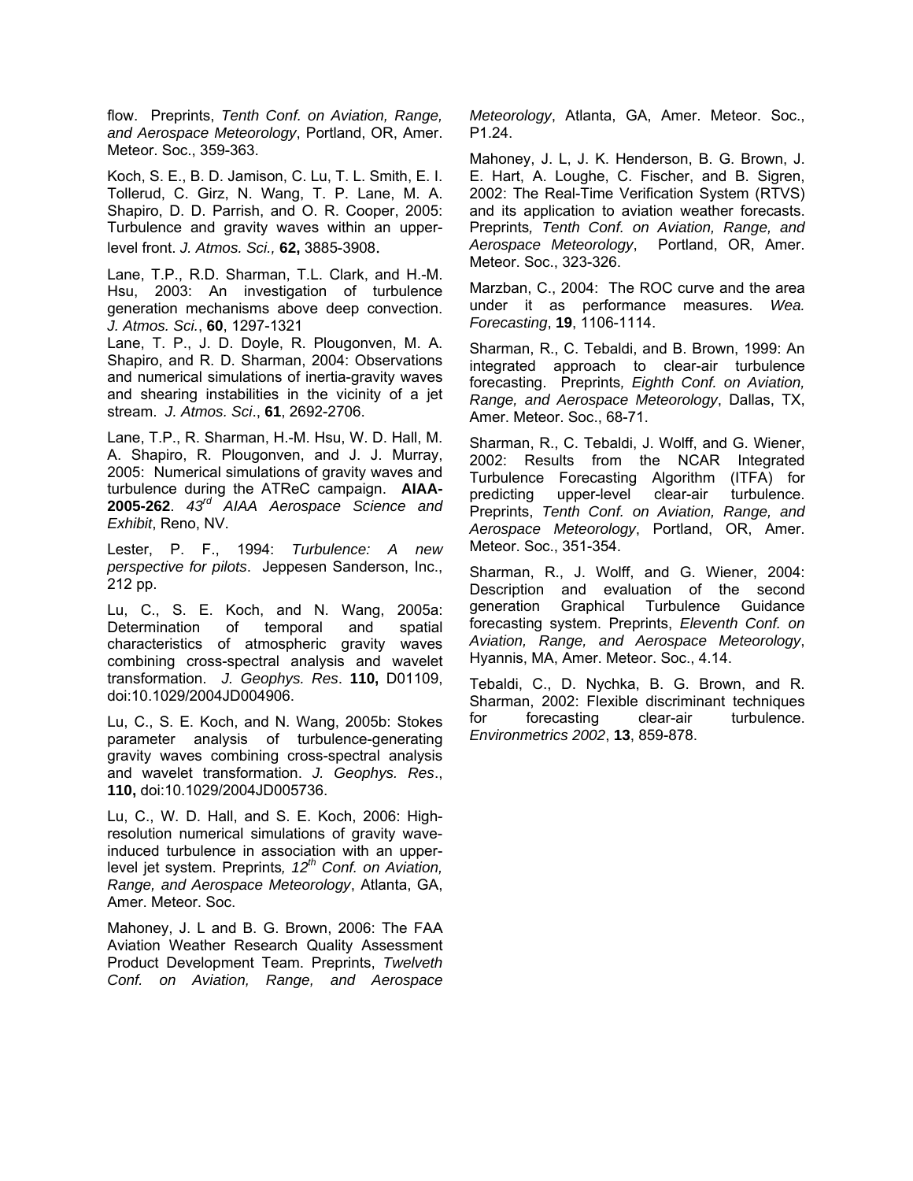flow. Preprints, *Tenth Conf. on Aviation, Range, and Aerospace Meteorology*, Portland, OR, Amer. Meteor. Soc., 359-363.

Koch, S. E., B. D. Jamison, C. Lu, T. L. Smith, E. I. Tollerud, C. Girz, N. Wang, T. P. Lane, M. A. Shapiro, D. D. Parrish, and O. R. Cooper, 2005: Turbulence and gravity waves within an upperlevel front. *J. Atmos. Sci.,* **62,** 3885-3908.

Lane, T.P., R.D. Sharman, T.L. Clark, and H.-M. Hsu, 2003: An investigation of turbulence generation mechanisms above deep convection. *J. Atmos. Sci.*, **60**, 1297-1321

Lane, T. P., J. D. Doyle, R. Plougonven, M. A. Shapiro, and R. D. Sharman, 2004: Observations and numerical simulations of inertia-gravity waves and shearing instabilities in the vicinity of a jet stream. *J. Atmos. Sci*., **61**, 2692-2706.

Lane, T.P., R. Sharman, H.-M. Hsu, W. D. Hall, M. A. Shapiro, R. Plougonven, and J. J. Murray, 2005: Numerical simulations of gravity waves and turbulence during the ATReC campaign. **AIAA-2005-262**. *43rd AIAA Aerospace Science and Exhibit*, Reno, NV.

Lester, P. F., 1994: *Turbulence: A new perspective for pilots*. Jeppesen Sanderson, Inc., 212 pp.

Lu, C., S. E. Koch, and N. Wang, 2005a: Determination of temporal and spatial characteristics of atmospheric gravity waves combining cross-spectral analysis and wavelet transformation. *J. Geophys. Res*. **110,** D01109, doi:10.1029/2004JD004906.

Lu, C., S. E. Koch, and N. Wang, 2005b: Stokes parameter analysis of turbulence-generating gravity waves combining cross-spectral analysis and wavelet transformation. *J. Geophys. Res*., **110,** doi:10.1029/2004JD005736.

Lu, C., W. D. Hall, and S. E. Koch, 2006: Highresolution numerical simulations of gravity waveinduced turbulence in association with an upperlevel jet system. Preprints, 12<sup>th</sup> Conf. on Aviation, *Range, and Aerospace Meteorology*, Atlanta, GA, Amer. Meteor. Soc.

Mahoney, J. L and B. G. Brown, 2006: The FAA Aviation Weather Research Quality Assessment Product Development Team. Preprints, *Twelveth Conf. on Aviation, Range, and Aerospace* 

*Meteorology*, Atlanta, GA, Amer. Meteor. Soc., P1.24.

Mahoney, J. L, J. K. Henderson, B. G. Brown, J. E. Hart, A. Loughe, C. Fischer, and B. Sigren, 2002: The Real-Time Verification System (RTVS) and its application to aviation weather forecasts. Preprints*, Tenth Conf. on Aviation, Range, and Aerospace Meteorology*, Portland, OR, Amer. Meteor. Soc., 323-326.

Marzban, C., 2004: The ROC curve and the area under it as performance measures. *Wea. Forecasting*, **19**, 1106-1114.

Sharman, R., C. Tebaldi, and B. Brown, 1999: An integrated approach to clear-air turbulence forecasting. Preprints*, Eighth Conf. on Aviation, Range, and Aerospace Meteorology*, Dallas, TX, Amer. Meteor. Soc., 68-71.

Sharman, R., C. Tebaldi, J. Wolff, and G. Wiener, 2002: Results from the NCAR Integrated Turbulence Forecasting Algorithm (ITFA) for predicting upper-level clear-air turbulence. Preprints, *Tenth Conf. on Aviation, Range, and Aerospace Meteorology*, Portland, OR, Amer. Meteor. Soc., 351-354.

Sharman, R., J. Wolff, and G. Wiener, 2004: Description and evaluation of the second generation Graphical Turbulence Guidance forecasting system. Preprints, *Eleventh Conf. on Aviation, Range, and Aerospace Meteorology*, Hyannis, MA, Amer. Meteor. Soc., 4.14.

Tebaldi, C., D. Nychka, B. G. Brown, and R. Sharman, 2002: Flexible discriminant techniques for forecasting clear-air turbulence. *Environmetrics 2002*, **13**, 859-878.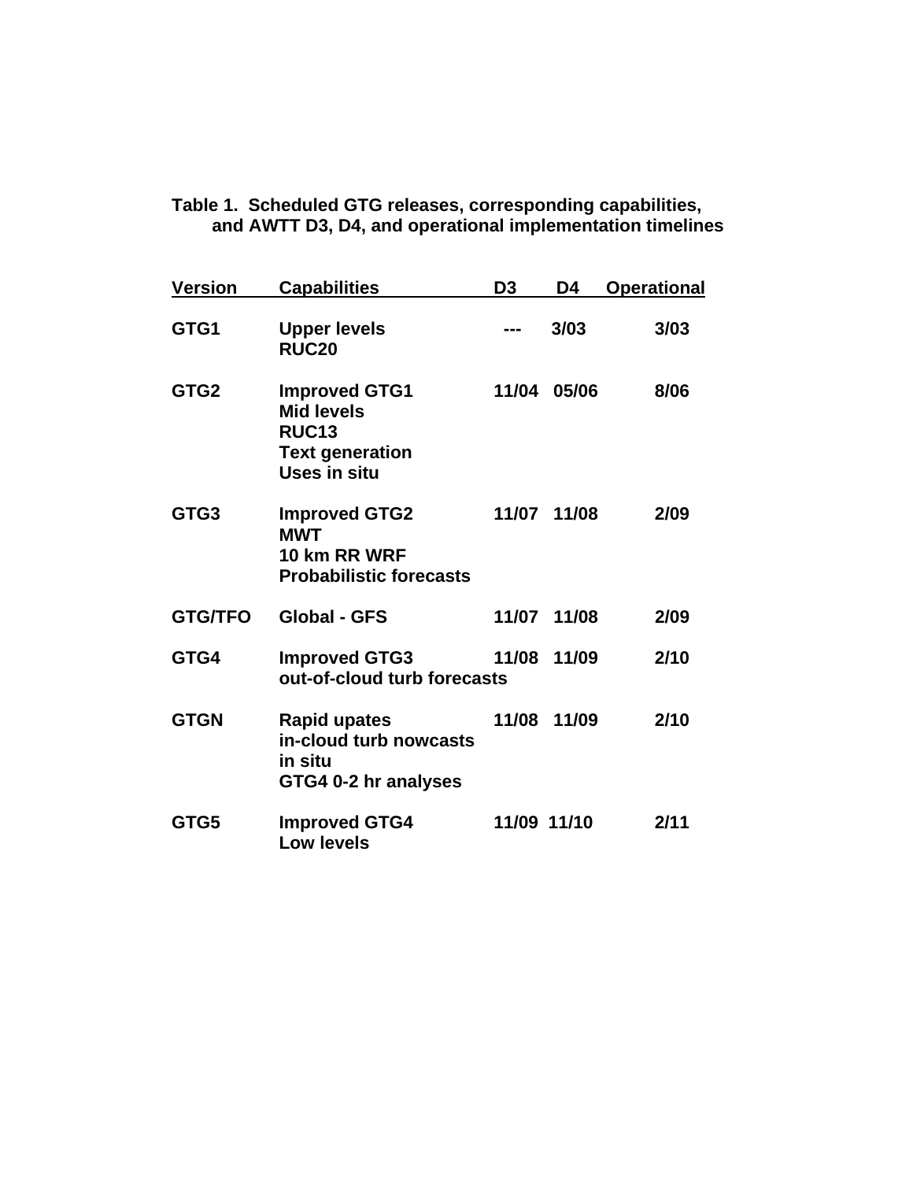| <u>Version</u>   | <b>Capabilities</b>                                                                                        | D <sub>3</sub> | D4          | <b>Operational</b> |
|------------------|------------------------------------------------------------------------------------------------------------|----------------|-------------|--------------------|
| GTG1             | <b>Upper levels</b><br><b>RUC20</b>                                                                        |                | 3/03        | 3/03               |
| GTG <sub>2</sub> | <b>Improved GTG1</b><br><b>Mid levels</b><br><b>RUC13</b><br><b>Text generation</b><br><b>Uses in situ</b> | 11/04          | 05/06       | 8/06               |
| GTG3             | <b>Improved GTG2</b><br><b>MWT</b><br>10 km RR WRF<br><b>Probabilistic forecasts</b>                       |                | 11/07 11/08 | 2/09               |
| <b>GTG/TFO</b>   | <b>Global - GFS</b>                                                                                        | 11/07          | 11/08       | 2/09               |
| GTG4             | <b>Improved GTG3</b><br>out-of-cloud turb forecasts                                                        | 11/08          | 11/09       | 2/10               |
| <b>GTGN</b>      | <b>Rapid upates</b><br>in-cloud turb nowcasts<br>in situ<br>GTG4 0-2 hr analyses                           | 11/08          | 11/09       | 2/10               |
| GTG5             | <b>Improved GTG4</b><br><b>Low levels</b>                                                                  | 11/09 11/10    |             | 2/11               |

**Table 1. Scheduled GTG releases, corresponding capabilities,** 

**and AWTT D3, D4, and operational implementation timelines**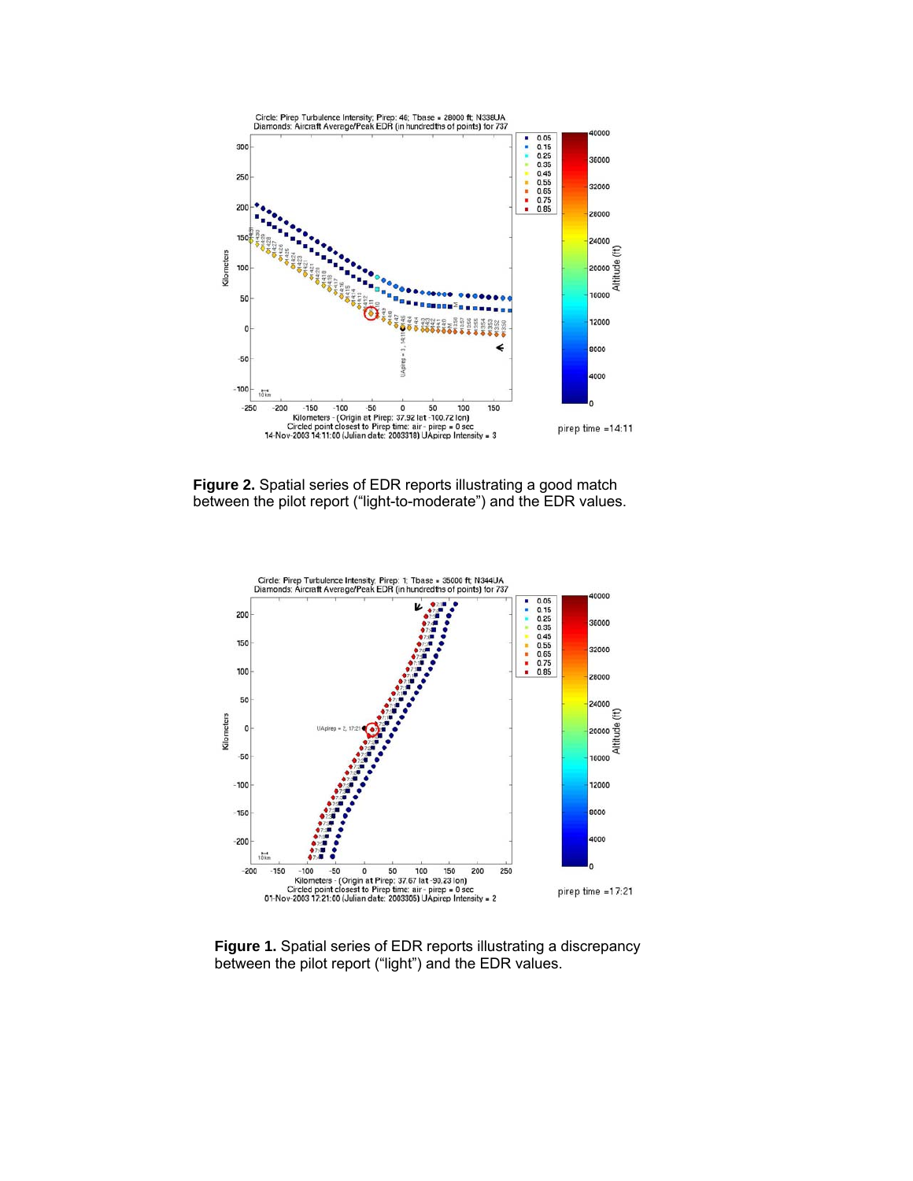

**Figure 2.** Spatial series of EDR reports illustrating a good match between the pilot report ("light-to-moderate") and the EDR values.



**Figure 1.** Spatial series of EDR reports illustrating a discrepancy between the pilot report ("light") and the EDR values.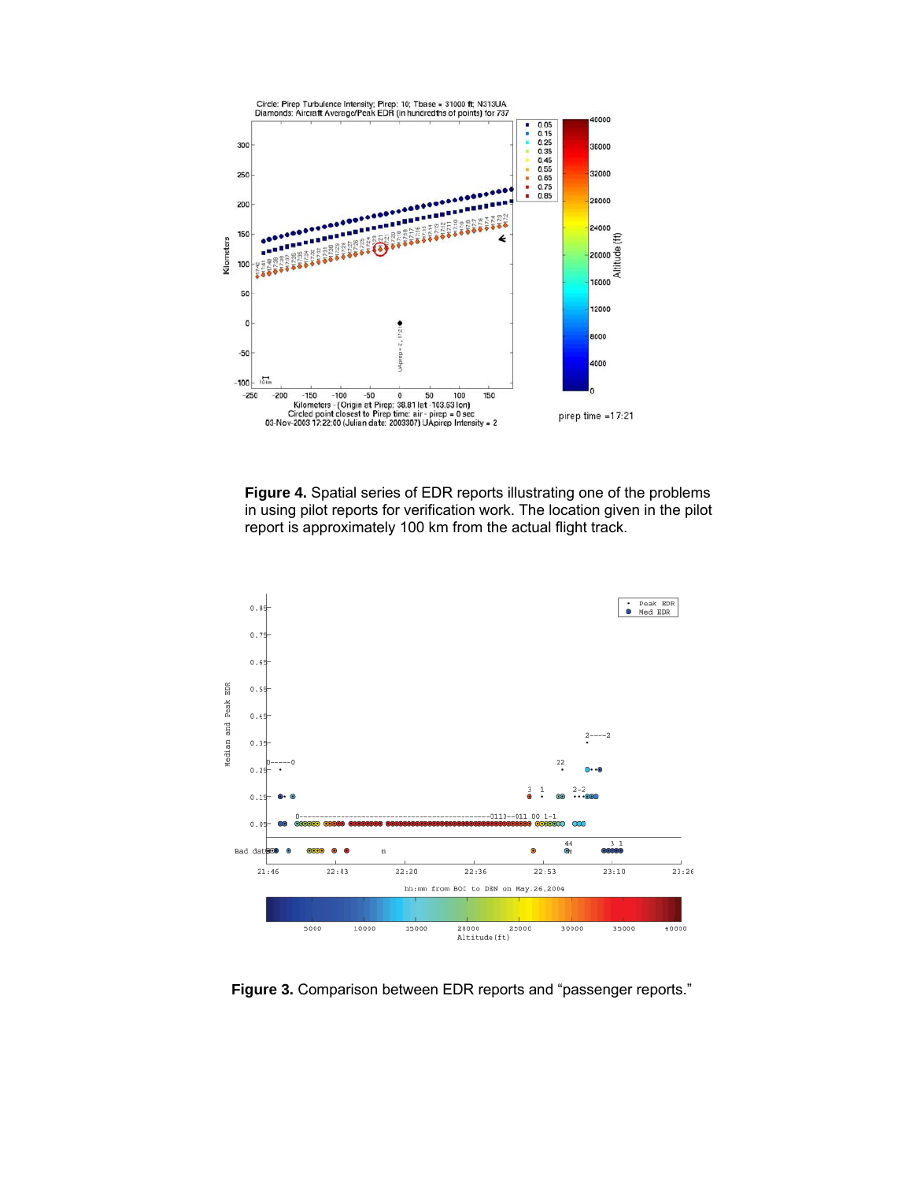

**Figure 4.** Spatial series of EDR reports illustrating one of the problems in using pilot reports for verification work. The location given in the pilot report is approximately 100 km from the actual flight track.



**Figure 3.** Comparison between EDR reports and "passenger reports."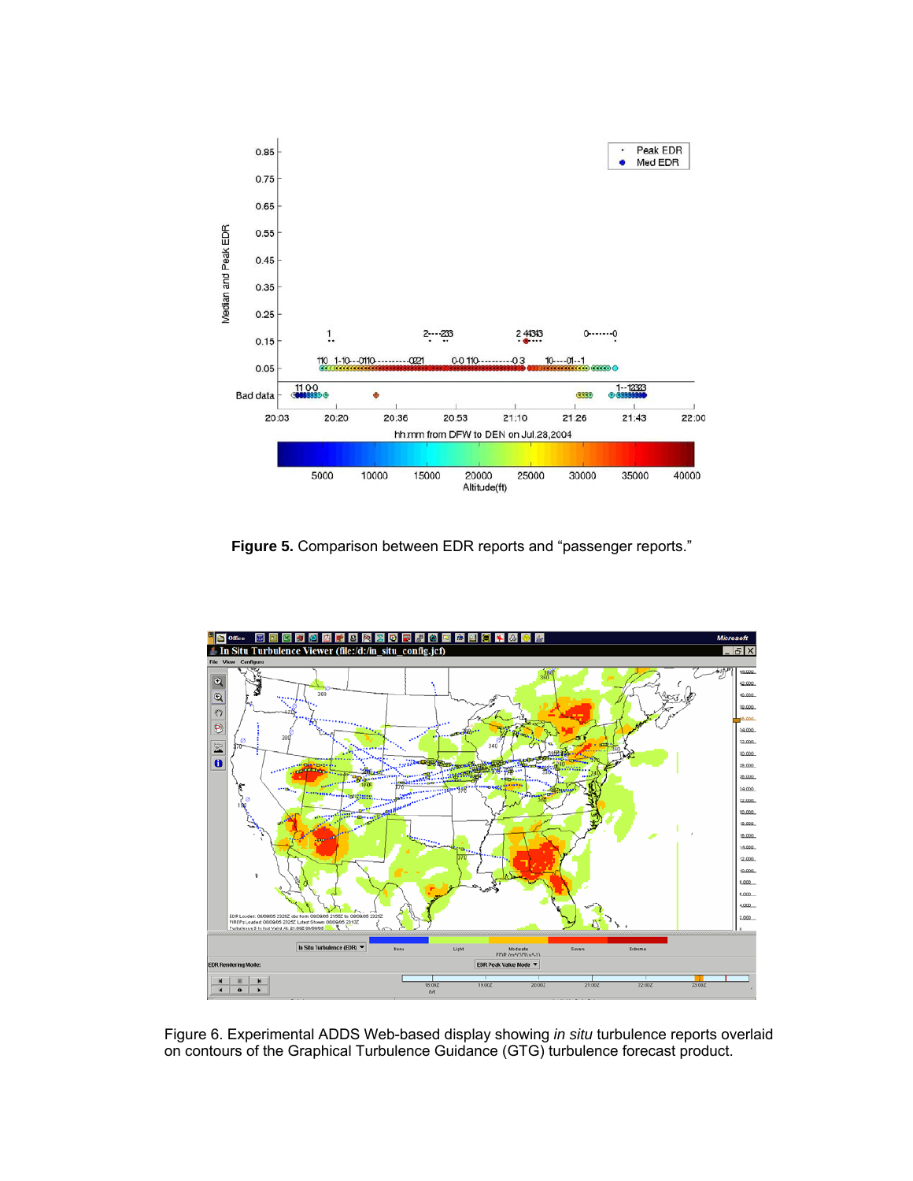

**Figure 5.** Comparison between EDR reports and "passenger reports."



Figure 6. Experimental ADDS Web-based display showing *in situ* turbulence reports overlaid on contours of the Graphical Turbulence Guidance (GTG) turbulence forecast product.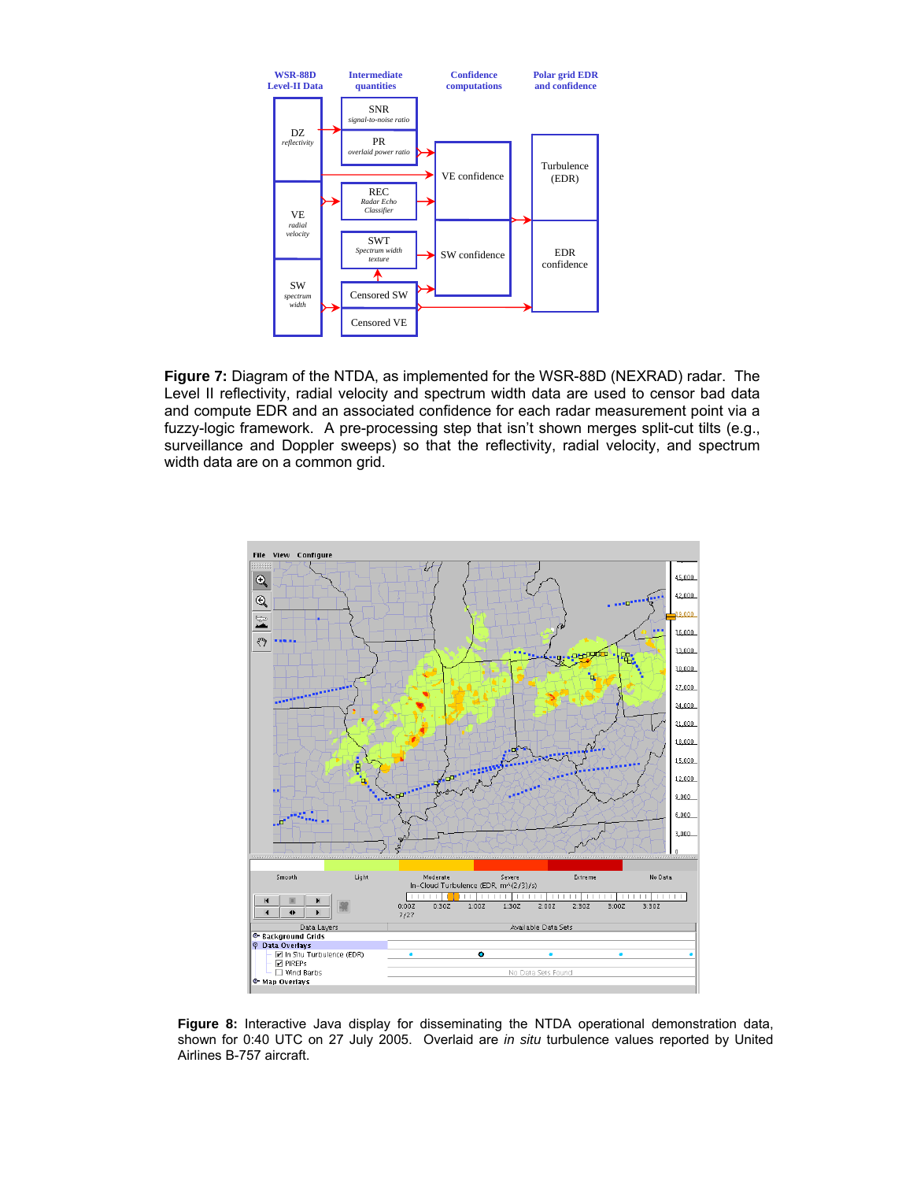

**Figure 7:** Diagram of the NTDA, as implemented for the WSR-88D (NEXRAD) radar. The Level II reflectivity, radial velocity and spectrum width data are used to censor bad data and compute EDR and an associated confidence for each radar measurement point via a fuzzy-logic framework. A pre-processing step that isn't shown merges split-cut tilts (e.g., surveillance and Doppler sweeps) so that the reflectivity, radial velocity, and spectrum width data are on a common grid.



**Figure 8:** Interactive Java display for disseminating the NTDA operational demonstration data, shown for 0:40 UTC on 27 July 2005. Overlaid are *in situ* turbulence values reported by United Airlines B-757 aircraft.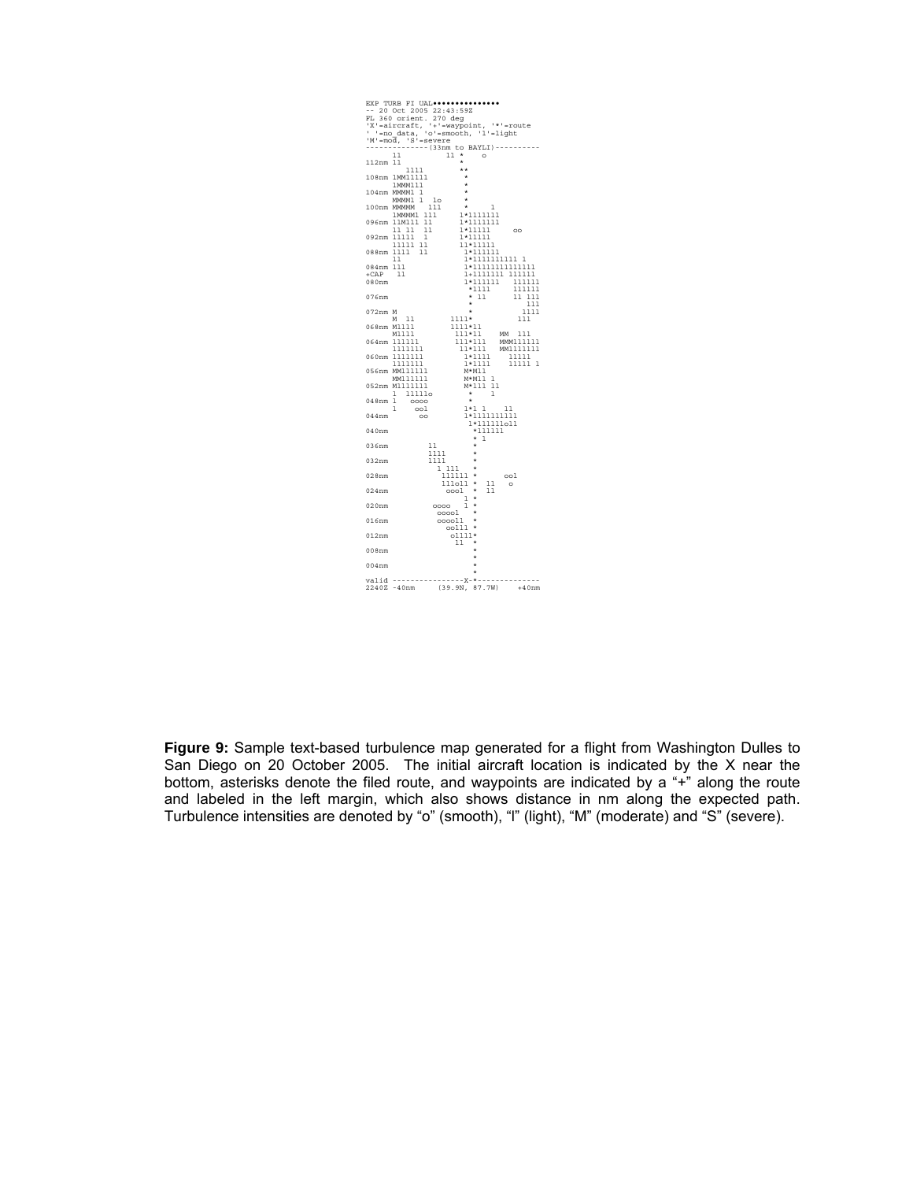

**Figure 9:** Sample text-based turbulence map generated for a flight from Washington Dulles to San Diego on 20 October 2005. The initial aircraft location is indicated by the X near the bottom, asterisks denote the filed route, and waypoints are indicated by a "+" along the route and labeled in the left margin, which also shows distance in nm along the expected path. Turbulence intensities are denoted by "o" (smooth), "l" (light), "M" (moderate) and "S" (severe).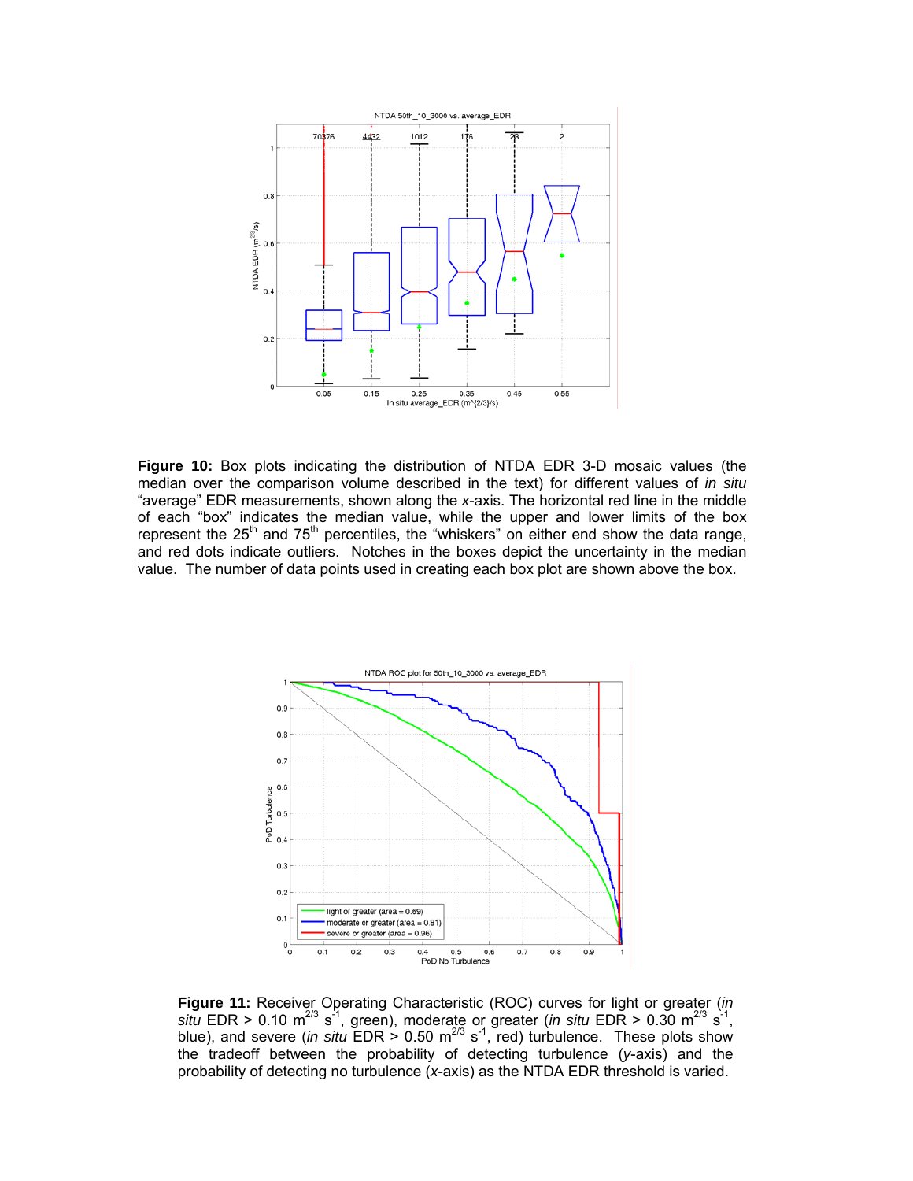

**Figure 10:** Box plots indicating the distribution of NTDA EDR 3-D mosaic values (the median over the comparison volume described in the text) for different values of *in situ* "average" EDR measurements, shown along the *x*-axis. The horizontal red line in the middle of each "box" indicates the median value, while the upper and lower limits of the box represent the  $25<sup>th</sup>$  and  $75<sup>th</sup>$  percentiles, the "whiskers" on either end show the data range, and red dots indicate outliers. Notches in the boxes depict the uncertainty in the median value. The number of data points used in creating each box plot are shown above the box.



**Figure 11:** Receiver Operating Characteristic (ROC) curves for light or greater (*in situ* EDR > 0.10 m<sup>2/3</sup> s<sup>-1</sup>, green), moderate or greater (*in situ* EDR > 0.30 m<sup>2/3</sup> s<sup>-1</sup>, blue), and severe (*in situ*  $EDR > 0.50$   $m^{2/3}$  s<sup>-1</sup>, red) turbulence. These plots show the tradeoff between the probability of detecting turbulence (*y*-axis) and the probability of detecting no turbulence (*x*-axis) as the NTDA EDR threshold is varied.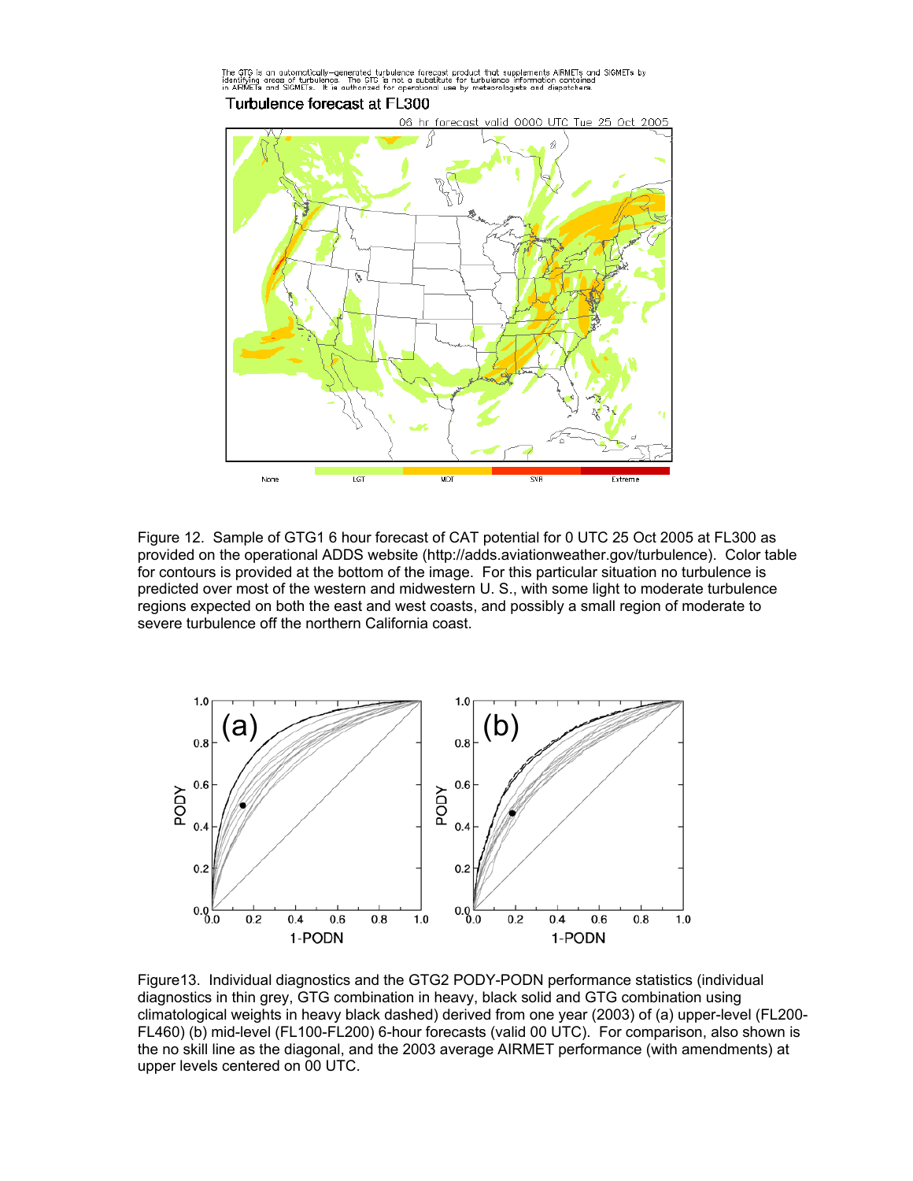

Figure 12. Sample of GTG1 6 hour forecast of CAT potential for 0 UTC 25 Oct 2005 at FL300 as provided on the operational ADDS website (http://adds.aviationweather.gov/turbulence). Color table for contours is provided at the bottom of the image. For this particular situation no turbulence is predicted over most of the western and midwestern U. S., with some light to moderate turbulence regions expected on both the east and west coasts, and possibly a small region of moderate to severe turbulence off the northern California coast.



Figure13. Individual diagnostics and the GTG2 PODY-PODN performance statistics (individual diagnostics in thin grey, GTG combination in heavy, black solid and GTG combination using climatological weights in heavy black dashed) derived from one year (2003) of (a) upper-level (FL200- FL460) (b) mid-level (FL100-FL200) 6-hour forecasts (valid 00 UTC). For comparison, also shown is the no skill line as the diagonal, and the 2003 average AIRMET performance (with amendments) at upper levels centered on 00 UTC.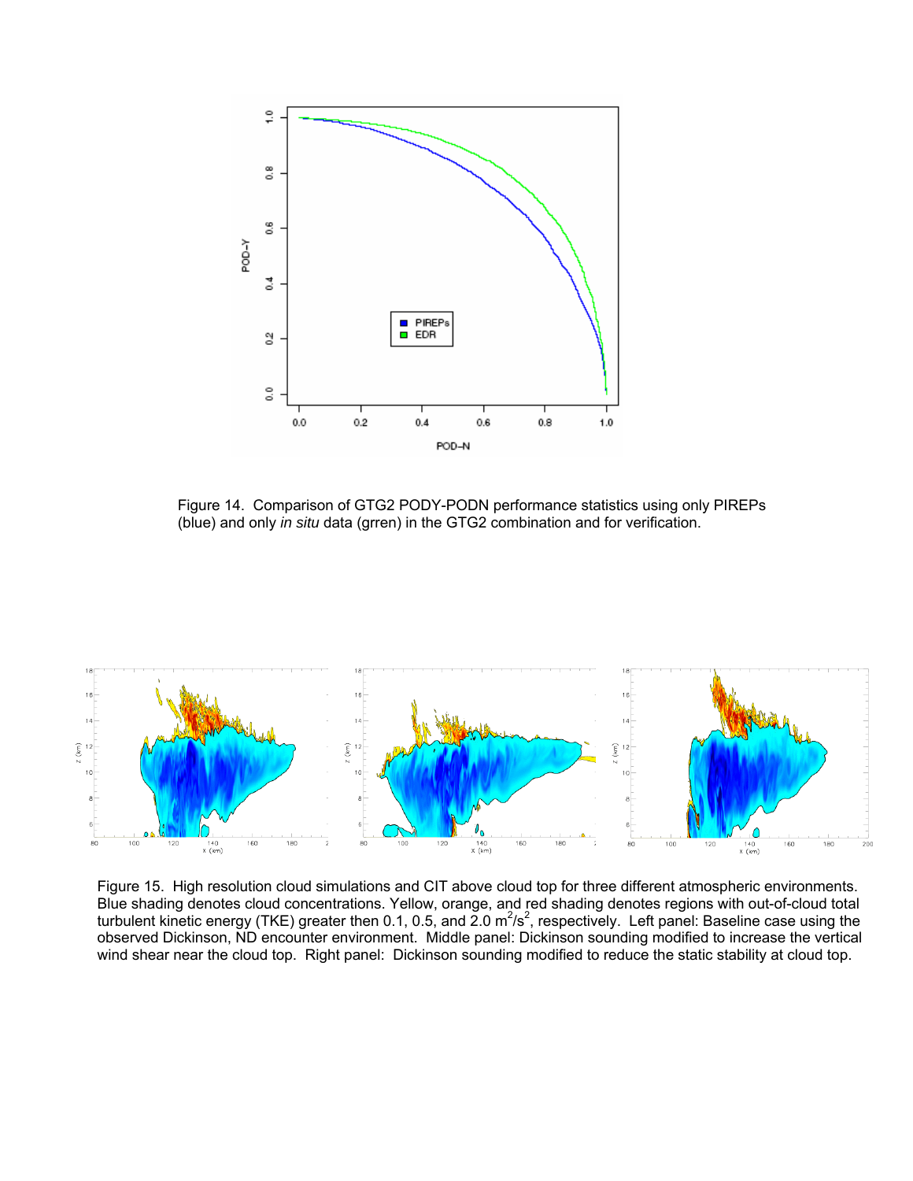

Figure 14. Comparison of GTG2 PODY-PODN performance statistics using only PIREPs (blue) and only *in situ* data (grren) in the GTG2 combination and for verification.



Figure 15. High resolution cloud simulations and CIT above cloud top for three different atmospheric environments. Blue shading denotes cloud concentrations. Yellow, orange, and red shading denotes regions with out-of-cloud total turbulent kinetic energy (TKE) greater then 0.1, 0.5, and 2.0  $m^2/s^2$ , respectively. Left panel: Baseline case using the observed Dickinson, ND encounter environment. Middle panel: Dickinson sounding modified to increase the vertical wind shear near the cloud top. Right panel: Dickinson sounding modified to reduce the static stability at cloud top.